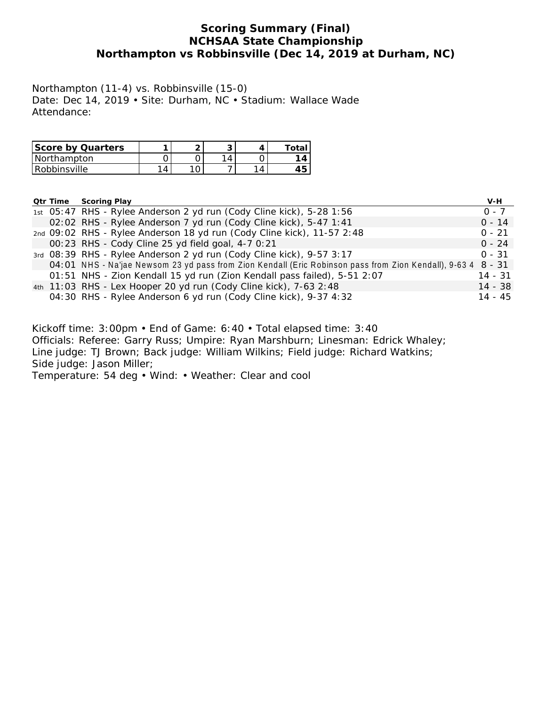## **Scoring Summary (Final) NCHSAA State Championship Northampton vs Robbinsville (Dec 14, 2019 at Durham, NC)**

Northampton (11-4) vs. Robbinsville (15-0) Date: Dec 14, 2019 • Site: Durham, NC • Stadium: Wallace Wade Attendance:

| Score by Quarters |  | ⌒ | $T \cap T$ |
|-------------------|--|---|------------|
| l Northampton     |  | Δ | Δ          |
| Robbinsville      |  |   | ∽          |

|  | Qtr Time | Scoring Play                                                                                                 | V-H       |
|--|----------|--------------------------------------------------------------------------------------------------------------|-----------|
|  |          | 1st 05:47 RHS - Rylee Anderson 2 yd run (Cody Cline kick), 5-28 1:56                                         | $0 - 7$   |
|  |          | 02:02 RHS - Rylee Anderson 7 yd run (Cody Cline kick), 5-47 1:41                                             | $0 - 14$  |
|  |          | 2nd 09:02 RHS - Rylee Anderson 18 yd run (Cody Cline kick), 11-57 2:48                                       | $0 - 21$  |
|  |          | 00:23 RHS - Cody Cline 25 yd field goal, 4-7 0:21                                                            | $0 - 24$  |
|  |          | 3rd 08:39 RHS - Rylee Anderson 2 yd run (Cody Cline kick), 9-57 3:17                                         | $0 - 31$  |
|  |          | 04:01 NHS - Na'jae Newsom 23 yd pass from Zion Kendall (Eric Robinson pass from Zion Kendall), 9-63 4 8 - 31 |           |
|  |          | 01:51 NHS - Zion Kendall 15 yd run (Zion Kendall pass failed), 5-51 2:07                                     | $14 - 31$ |
|  |          | 4th 11:03 RHS - Lex Hooper 20 yd run (Cody Cline kick), 7-63 2:48                                            | 14 - 38   |
|  |          | 04:30 RHS - Rylee Anderson 6 yd run (Cody Cline kick), 9-37 4:32                                             | $14 - 45$ |
|  |          |                                                                                                              |           |
|  |          |                                                                                                              |           |
|  |          | Kickoff time: $3.00$ nm • End of Came: 6:40 • Total elansed time: $3.40$                                     |           |

Kickoff time: 3:00pm • End of Game: 6:40 • Total elapsed time: 3:40 Officials: Referee: Garry Russ; Umpire: Ryan Marshburn; Linesman: Edrick Whaley; Line judge: TJ Brown; Back judge: William Wilkins; Field judge: Richard Watkins; Side judge: Jason Miller; Temperature: 54 deg • Wind: • Weather: Clear and cool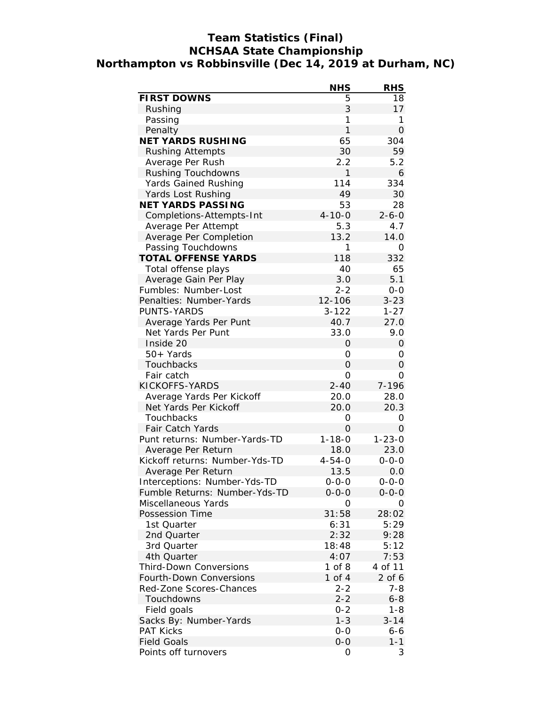## **Team Statistics (Final) NCHSAA State Championship Northampton vs Robbinsville (Dec 14, 2019 at Durham, NC)**

|                                | <b>NHS</b>     | <b>RHS</b>     |
|--------------------------------|----------------|----------------|
| FIRST DOWNS                    | 5              | 18             |
| Rushing                        | 3              | 17             |
| Passing                        | 1              | 1              |
| Penalty                        | $\mathbf{1}$   | $\overline{O}$ |
| NET YARDS RUSHING              | 65             | 304            |
| <b>Rushing Attempts</b>        | 30             | 59             |
| Average Per Rush               | 2.2            | 5.2            |
| Rushing Touchdowns             | 1              | 6              |
| Yards Gained Rushing           | 114            | 334            |
| Yards Lost Rushing             | 49             | 30             |
| NET YARDS PASSING              | 53             | 28             |
| Completions-Attempts-Int       | $4 - 10 - 0$   | $2 - 6 - 0$    |
| Average Per Attempt            | 5.3            | 4.7            |
| Average Per Completion         | 13.2           | 14.0           |
| Passing Touchdowns             | 1              | 0              |
| TOTAL OFFENSE YARDS            | 118            | 332            |
| Total offense plays            | 40             | 65             |
| Average Gain Per Play          | 3.0            | 5.1            |
| Fumbles: Number-Lost           | $2 - 2$        | $0 - 0$        |
| Penalties: Number-Yards        | 12-106         | $3 - 23$       |
| PUNTS-YARDS                    | $3 - 122$      | $1 - 27$       |
| Average Yards Per Punt         | 40.7           | 27.0           |
| Net Yards Per Punt             | 33.0           | 9.0            |
| Inside 20                      | O              | $\Omega$       |
| 50+ Yards                      | 0              | 0              |
| Touchbacks                     | $\overline{O}$ | $\Omega$       |
| Fair catch                     | 0              | Ο              |
| KICKOFFS-YARDS                 | $2 - 40$       | 7-196          |
| Average Yards Per Kickoff      | 20.0           | 28.0           |
| Net Yards Per Kickoff          | 20.0           | 20.3           |
| Touchbacks                     | 0              | 0              |
| Fair Catch Yards               | $\Omega$       | $\mathcal{O}$  |
| Punt returns: Number-Yards-TD  | $1 - 18 - 0$   | $1 - 23 - 0$   |
| Average Per Return             | 18.0           | 23.0           |
| Kickoff returns: Number-Yds-TD | $4 - 54 - 0$   | $0 - 0 - 0$    |
| Average Per Return             | 13.5           | 0.0            |
| Interceptions: Number-Yds-TD   | $0 - 0 - 0$    | $0 - 0 - 0$    |
| Fumble Returns: Number-Yds-TD  | $0 - 0 - 0$    | $0 - 0 - 0$    |
| Miscellaneous Yards            | 0              | Ο              |
| Possession Time                | 31:58          | 28:02          |
| 1st Quarter                    | 6:31           | 5:29           |
| 2nd Quarter                    | 2:32           | 9:28           |
| 3rd Quarter                    | 18:48          | 5:12           |
| 4th Quarter                    | 4:07           | 7:53           |
| Third-Down Conversions         | $1$ of $8$     | 4 of 11        |
| Fourth-Down Conversions        | 1 of $4$       | $2$ of 6       |
| Red-Zone Scores-Chances        | $2 - 2$        | $7 - 8$        |
| Touchdowns                     | $2 - 2$        | $6 - 8$        |
| Field goals                    | $0 - 2$        | $1 - 8$        |
| Sacks By: Number-Yards         | $1 - 3$        | $3 - 14$       |
| <b>PAT Kicks</b>               | $0-0$          | 6-6            |
| <b>Field Goals</b>             | $0-0$          | $1 - 1$        |
| Points off turnovers           | 0              | 3              |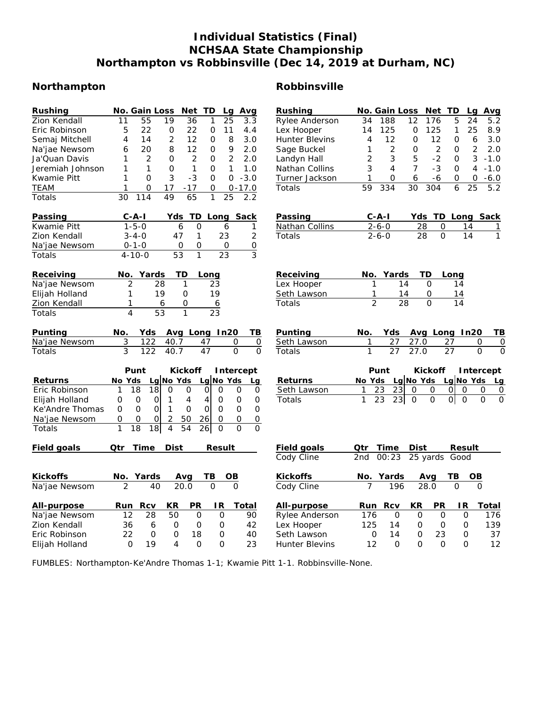## **Individual Statistics (Final) NCHSAA State Championship Northampton vs Robbinsville (Dec 14, 2019 at Durham, NC)**

## **Northampton Robbinsville**

| Rushing          | No. Gain Loss<br>Net<br>TD<br>Avg<br>Lq                                                                            | Rushing               | No. Gain Loss<br>Net TD<br>Avg<br>Lg                                                                              |
|------------------|--------------------------------------------------------------------------------------------------------------------|-----------------------|-------------------------------------------------------------------------------------------------------------------|
| Zion Kendall     | $\overline{11}$<br>$\overline{55}$<br>$\overline{19}$<br>$\overline{36}$<br>$\mathbf{1}$<br>$\overline{25}$<br>3.3 | Rylee Anderson        | 34<br>188<br>12<br>176<br>5<br>24<br>5.2                                                                          |
| Eric Robinson    | 22<br>5<br>22<br>0<br>11<br>0<br>4.4                                                                               | Lex Hooper            | 125<br>$\mathbf 0$<br>125<br>25<br>8.9<br>14<br>1                                                                 |
| Semaj Mitchell   | $\overline{2}$<br>$\overline{4}$<br>14<br>12<br>$\Omega$<br>8<br>3.0                                               | <b>Hunter Blevins</b> | 12<br>$\overline{4}$<br>12<br>$\mathbf{O}$<br>$\mathcal{O}$<br>6<br>3.0                                           |
| Na'jae Newsom    | 12<br>9<br>20<br>8<br>O<br>2.0<br>6                                                                                | Sage Buckel           | 2<br>$\overline{2}$<br>$\overline{c}$<br>$\mathbf 0$<br>O<br>2.0<br>1                                             |
| Ja'Quan Davis    | $\overline{c}$<br>$\overline{2}$<br>$\overline{2}$<br>2.0<br>1<br>0<br>0                                           | Landyn Hall           | 3<br>5<br>$-2$<br>3<br>2<br>$-1.0$<br>$\Omega$                                                                    |
| Jeremiah Johnson | 1<br>1<br>$\Omega$<br>$\mathbf{1}$<br>1<br>1.0<br>0                                                                | Nathan Collins        | 3<br>$\overline{7}$<br>$-3$<br>4<br>$\Omega$<br>4<br>$-1.0$                                                       |
| Kwamie Pitt      | 3<br>$-3$<br>1<br>$\mathbf{O}$<br>$\Omega$<br>$-3.0$<br>$\Omega$                                                   | Turner Jackson        | 1<br>O<br>6<br>-6<br>O<br>0<br>$-6.0$                                                                             |
| TEAM             | 17<br>$-17$<br>$0 - 17.0$<br>1<br>0<br>0                                                                           | Totals                | 334<br>30<br>304<br>6<br>25<br>5.2<br>59                                                                          |
| Totals           | 49<br>$\mathbf{1}$<br>30<br>114<br>65<br>$\overline{25}$<br>2.2                                                    |                       |                                                                                                                   |
| Passing          | $C - A - I$<br>Long Sack<br>Yds<br>TD                                                                              | Passing               | $C - A - I$<br>TD Long Sack<br>Yds                                                                                |
| Kwamie Pitt      | $1 - 5 - 0$<br>6<br>O<br>1<br>6                                                                                    | Nathan Collins        | $2 - 6 - 0$<br>28<br>0<br>14<br>1                                                                                 |
| Zion Kendall     | 23<br>$\overline{2}$<br>$3 - 4 - 0$<br>47<br>1                                                                     | Totals                | $\overline{0}$<br>$\overline{14}$<br>1<br>$2 - 6 - 0$<br>28                                                       |
| Na'jae Newsom    | $0 - 1 - 0$<br>$\mathbf 0$<br>$\mathcal{O}$<br>O<br>$\circ$                                                        |                       |                                                                                                                   |
| Totals           | 3<br>53<br>$\mathbf{1}$<br>23<br>$4 - 10 - 0$                                                                      |                       |                                                                                                                   |
| Receiving        | Yards<br>ТD<br>No.<br>Long                                                                                         | Receiving             | Yards<br>TD<br>No.<br>Long                                                                                        |
| Na'jae Newsom    | 2<br>28<br>1<br>23                                                                                                 | Lex Hooper            | 14<br>$\Omega$<br>14<br>1                                                                                         |
| Elijah Holland   | 1<br>19<br>$\Omega$<br>19                                                                                          | Seth Lawson           | 1<br>14<br>14<br>0                                                                                                |
| Zion Kendall     | 1<br>0<br>6<br>$\overline{6}$                                                                                      | Totals                | $\overline{2}$<br>$\overline{28}$<br>$\Omega$<br>14                                                               |
| Totals           | $\overline{23}$<br>$\overline{4}$<br>$\overline{53}$<br>$\mathbf{1}$                                               |                       |                                                                                                                   |
| Punting          | Avg Long In20<br>$TB$<br>No.<br>Yds                                                                                | Punting               | Avg Long In20<br>TB<br>No.<br>Yds                                                                                 |
| Na'jae Newsom    | 3<br>122<br>40.7<br>47<br>0<br>$\mathsf O$                                                                         | Seth Lawson           | 27.0<br>27<br>27<br>1<br>0<br>0                                                                                   |
| Totals           | $\overline{3}$<br>$\overline{122}$<br>$\overline{0}$<br>$\overline{O}$<br>40.7<br>47                               | Totals                | $\mathbf{1}$<br>$\overline{27}$<br>27.0<br>$\overline{27}$<br>$\Omega$<br>$\Omega$                                |
|                  | Punt<br>Kickoff<br>Intercept                                                                                       |                       | Punt<br>Kickoff<br>Intercept                                                                                      |
| Returns          | Lg $No$ Yds<br>Lg No Yds<br>No Yds<br>Lg                                                                           | Returns               | LalNo Yds<br>Lg $No$ Yds<br>No Yds<br>Lq                                                                          |
| Eric Robinson    | 18<br>18<br>$\mathbf{O}$<br>$\overline{O}$<br>$\mathbf{O}$<br>$\mathsf O$<br>1<br>0<br>0                           | Seth Lawson           | 23<br>23<br>0<br>0<br>Οl<br>$\Omega$<br>0<br>1<br>0                                                               |
| Elijah Holland   | $\mathcal{O}$<br>$\mathbf 0$<br>0<br>0<br>1<br>4<br>4<br>$\circ$<br>$\circ$                                        | Totals                | $\mathbf{1}$<br>23<br>23<br>$\mathsf{O}$<br> 0 <br>$\overline{O}$<br>$\mathbf 0$<br>$\mathbf 0$<br>$\overline{O}$ |
| Ke'Andre Thomas  | $\mathbf 0$<br>$\mathcal{O}$<br>$\Omega$<br>0<br>1<br>$\circ$<br>$\mathbf{O}$<br>$\Omega$<br>$\circ$               |                       |                                                                                                                   |
| Na'jae Newsom    | 2<br>50<br>$\mathsf O$<br>0<br>0<br>0<br>26<br>$\circ$<br>$\Omega$                                                 |                       |                                                                                                                   |
| Totals           | 1<br>$\overline{4}$<br>18<br>18<br>54<br>$\overline{O}$<br>$\Omega$<br>$\Omega$<br>26                              |                       |                                                                                                                   |
| Field goals      | Time<br>Qtr<br>Dist<br>Result                                                                                      | Field goals           | Qtr<br>Time<br>Dist<br>Result                                                                                     |
|                  |                                                                                                                    | Cody Cline            | 25 yards<br>2nd<br>00:23<br>Good                                                                                  |
| Kickoffs         | Yards<br>TВ<br>OB<br>No.<br>Avg                                                                                    | Kickoffs              | TВ<br>Yards<br>OB<br>No.<br>Avg                                                                                   |
| Na'jae Newsom    | $\overline{2}$<br>20.0<br>$\Omega$<br>40<br>$\Omega$                                                               | Cody Cline            | 196<br>28.0<br>$\Omega$<br>7<br>$\Omega$                                                                          |
| All-purpose      | Rcv<br>KR<br><b>PR</b><br>IR.<br>Total<br>Run                                                                      | All-purpose           | KR<br>PR<br>1R<br>Rcv<br>Total<br>Run                                                                             |
| Na'jae Newsom    | 12<br>28<br>50<br>$\mathbf 0$<br>$\overline{O}$<br>90                                                              | Rylee Anderson        | $\Omega$<br>$\mathbf 0$<br>176<br>0<br>O<br>176                                                                   |
| Zion Kendall     | 36<br>6<br>0<br>O<br>0<br>42                                                                                       | Lex Hooper            | 125<br>14<br>0<br>O<br>0<br>139                                                                                   |
| Eric Robinson    | 22<br>$\Omega$<br>$\overline{O}$<br>18<br>40<br>O                                                                  | Seth Lawson           | 23<br>37<br>0<br>14<br>O<br>0                                                                                     |
| Elijah Holland   | 19<br>$\Omega$<br>$\Omega$<br>23<br>$\Omega$<br>4                                                                  | <b>Hunter Blevins</b> | 12<br>$\Omega$<br>$\Omega$<br>$\Omega$<br>12<br>$\Omega$                                                          |

FUMBLES: Northampton-Ke'Andre Thomas 1-1; Kwamie Pitt 1-1. Robbinsville-None.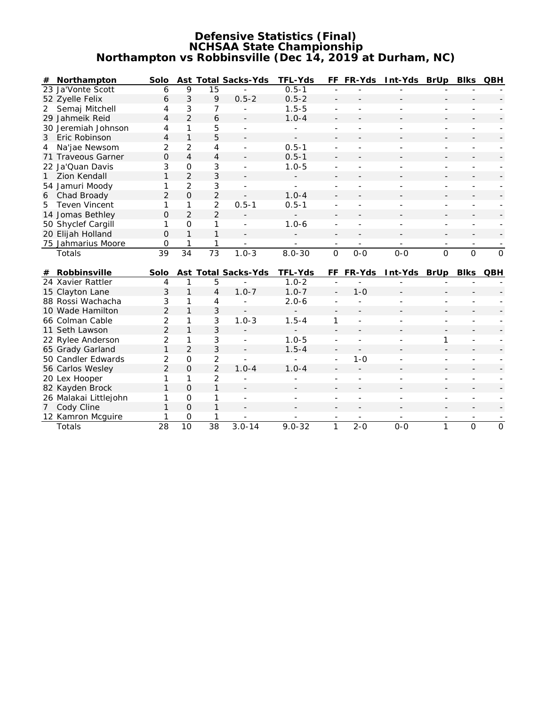#### **Defensive Statistics (Final) NCHSAA State Championship Northampton vs Robbinsville (Dec 14, 2019 at Durham, NC)**

|   | # Northampton         | Solo            |                     |                 | Ast Total Sacks-Yds      | TFL-Yds    | FF                       | FR-Yds                   | Int-Yds BrUp             |                          | <b>Blks</b>              | QBH            |
|---|-----------------------|-----------------|---------------------|-----------------|--------------------------|------------|--------------------------|--------------------------|--------------------------|--------------------------|--------------------------|----------------|
|   | 23 Ja'Vonte Scott     | 6               | 9                   | 15              |                          | $0.5 - 1$  |                          |                          |                          |                          |                          |                |
|   | 52 Zyelle Felix       | 6               | 3                   | 9               | $0.5 - 2$                | $0.5 - 2$  |                          |                          |                          |                          |                          |                |
| 2 | Semaj Mitchell        | 4               | 3                   | 7               |                          | $1.5 - 5$  |                          |                          |                          |                          |                          |                |
|   | 29 Jahmeik Reid       | 4               | $\overline{2}$      | 6               |                          | $1.0 - 4$  |                          |                          |                          |                          |                          |                |
|   | 30 Jeremiah Johnson   | 4               | 1                   | 5               |                          |            |                          |                          |                          |                          |                          |                |
| 3 | Eric Robinson         | 4               | $\mathbf{1}$        | 5               |                          |            |                          |                          |                          |                          |                          |                |
| 4 | Na'jae Newsom         | 2               | $\overline{2}$      | $\overline{4}$  | $\overline{\phantom{a}}$ | $0.5 - 1$  |                          |                          |                          |                          |                          |                |
|   | 71 Traveous Garner    | 0               | $\overline{4}$      | $\overline{4}$  |                          | $0.5 - 1$  |                          |                          |                          |                          |                          |                |
|   | 22 Ja'Quan Davis      | 3               | $\mathsf{O}\xspace$ | 3               |                          | $1.0 - 5$  |                          |                          |                          |                          |                          |                |
| 1 | <b>Zion Kendall</b>   | 1               | $\overline{2}$      | 3               |                          |            |                          |                          |                          |                          |                          |                |
|   | 54 Jamuri Moody       | 1               | $\overline{2}$      | 3               |                          | ÷.         |                          |                          |                          |                          |                          |                |
| 6 | Chad Broady           | $\overline{2}$  | $\Omega$            | $\overline{2}$  |                          | $1.0 - 4$  |                          |                          |                          |                          |                          |                |
| 5 | <b>Teven Vincent</b>  | 1               | 1                   | $\overline{2}$  | $0.5 - 1$                | $0.5 - 1$  |                          |                          |                          |                          |                          |                |
|   | 14 Jomas Bethley      | $\Omega$        | $\overline{2}$      | $\overline{2}$  |                          |            |                          |                          |                          |                          |                          |                |
|   | 50 Shyclef Cargill    | 1               | $\mathbf{O}$        | 1               | ÷,                       | $1.0 - 6$  | $\overline{\phantom{a}}$ |                          | L.                       |                          |                          |                |
|   | 20 Elijah Holland     | $\Omega$        | $\mathbf{1}$        | 1               |                          |            |                          |                          |                          |                          |                          |                |
|   | 75 Jahmarius Moore    | 0               |                     | 1               | $\overline{\phantom{a}}$ |            | $\overline{\phantom{a}}$ | $\overline{\phantom{a}}$ | $\overline{\phantom{a}}$ | $\overline{\phantom{a}}$ | $\overline{\phantom{a}}$ |                |
|   | Totals                | $\overline{39}$ | 34                  | $\overline{73}$ | $1.0 - 3$                | $8.0 - 30$ | $\mathsf{O}$             | $O-O$                    | $0 - 0$                  | $\overline{0}$           | $\overline{0}$           | $\overline{O}$ |
|   |                       |                 |                     |                 |                          |            |                          |                          |                          |                          |                          |                |
|   | # Robbinsville        | Solo            |                     |                 | Ast Total Sacks-Yds      | TFL-Yds    |                          | FF FR-Yds                | Int-Yds BrUp             |                          | Blks                     | QBH            |
|   | 24 Xavier Rattler     | 4               | $\mathbf{1}$        | 5               |                          | $1.0 - 2$  |                          |                          |                          |                          |                          |                |
|   | 15 Clayton Lane       | 3               | $\mathbf{1}$        | 4               | $1.0 - 7$                | $1.0 - 7$  |                          | $1 - 0$                  |                          |                          |                          |                |
|   | 88 Rossi Wachacha     | 3               | 1                   | 4               |                          | $2.0 - 6$  |                          |                          |                          |                          |                          |                |
|   | 10 Wade Hamilton      | $\overline{2}$  | $\mathbf{1}$        | 3               |                          |            |                          |                          |                          |                          |                          |                |
|   | 66 Colman Cable       | 2               | 1                   | 3               | $1.0 - 3$                | $1.5 - 4$  | 1                        |                          |                          |                          |                          |                |
|   | 11 Seth Lawson        | $\overline{2}$  | $\mathbf{1}$        | 3               |                          |            |                          |                          |                          |                          |                          |                |
|   | 22 Rylee Anderson     | $\overline{2}$  | 1                   | 3               |                          | $1.0 - 5$  | $\overline{\phantom{a}}$ |                          |                          | 1                        |                          |                |
|   | 65 Grady Garland      | $\mathbf{1}$    | 2                   | 3               | $\sim$                   | $1.5 - 4$  |                          |                          |                          |                          |                          |                |
|   | 50 Candler Edwards    | 2               | $\overline{O}$      | 2               | $\mathbf{r}$             |            | $\overline{\phantom{a}}$ | $1 - 0$                  |                          |                          |                          |                |
|   | 56 Carlos Wesley      | $\overline{2}$  | $\Omega$            | $\overline{2}$  | $1.0 - 4$                | $1.0 - 4$  |                          |                          |                          |                          |                          |                |
|   | 20 Lex Hooper         | 1               | 1                   | 2               |                          |            |                          |                          |                          |                          |                          |                |
|   | 82 Kayden Brock       | 1               | $\Omega$            | $\mathbf{1}$    |                          |            |                          |                          |                          |                          |                          |                |
|   | 26 Malakai Littlejohn | 1               | $\mathbf{O}$        | 1               |                          |            |                          |                          |                          |                          |                          |                |
|   | 7 Cody Cline          |                 | $\Omega$            | 1               |                          |            |                          |                          |                          |                          |                          |                |
|   | 12 Kamron Mcguire     |                 | 0                   | 1               |                          |            |                          |                          |                          |                          |                          |                |
|   | Totals                | $\overline{28}$ | $\overline{10}$     | $\overline{38}$ | $3.0 - 14$               | $9.0 - 32$ | 1                        | $2 - 0$                  | $O - O$                  | $\mathbf{1}$             | $\overline{0}$           | $\overline{0}$ |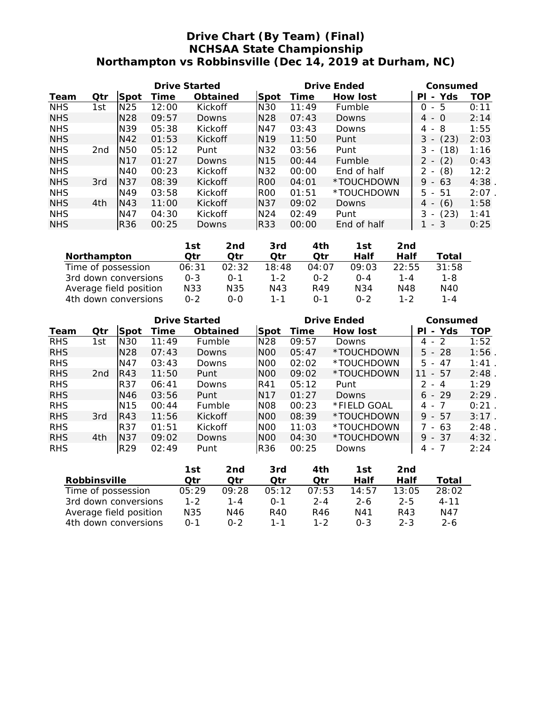## **Drive Chart (By Team) (Final) NCHSAA State Championship Northampton vs Robbinsville (Dec 14, 2019 at Durham, NC)**

|            |     | Drive Started   |       |          |                 | Drive Ended | Consumed    |                                       |            |
|------------|-----|-----------------|-------|----------|-----------------|-------------|-------------|---------------------------------------|------------|
| Team       | Qtr | Spot            | Time  | Obtained | Spot            | Time        | How lost    | Yds<br>ΡI<br>$\overline{\phantom{a}}$ | <b>TOP</b> |
| <b>NHS</b> | 1st | N <sub>25</sub> | 12:00 | Kickoff  | <b>N30</b>      | 11:49       | Fumble      | - 5<br>0                              | 0:11       |
| <b>NHS</b> |     | N <sub>28</sub> | 09:57 | Downs    | N <sub>28</sub> | 07:43       | Downs       | $4 - 0$                               | 2:14       |
| <b>NHS</b> |     | N <sub>39</sub> | 05:38 | Kickoff  | N47             | 03:43       | Downs       | - 8<br>4                              | 1:55       |
| <b>NHS</b> |     | N42             | 01:53 | Kickoff  | N <sub>19</sub> | 11:50       | Punt        | (23)<br>3<br>$\overline{\phantom{a}}$ | 2:03       |
| <b>NHS</b> | 2nd | N <sub>50</sub> | 05:12 | Punt     | N32             | 03:56       | Punt        | (18)<br>3                             | 1:16       |
| <b>NHS</b> |     | N17             | 01:27 | Downs    | N <sub>15</sub> | 00:44       | Fumble      | (2)<br>$2 -$                          | 0:43       |
| <b>NHS</b> |     | N40             | 00:23 | Kickoff  | N32             | 00:00       | End of half | (8)<br>$\overline{\phantom{a}}$       | 12:2       |
| <b>NHS</b> | 3rd | N37             | 08:39 | Kickoff  | R <sub>00</sub> | 04:01       | *TOUCHDOWN  | 9<br>-63<br>- - -                     | 4:38       |
| <b>NHS</b> |     | N49             | 03:58 | Kickoff  | <b>ROO</b>      | 01:51       | *TOUCHDOWN  | $5 -$<br>-51                          | 2:07       |
| <b>NHS</b> | 4th | N43             | 11:00 | Kickoff  | N37             | 09:02       | Downs       | (6)<br>4 -                            | 1:58       |
| <b>NHS</b> |     | N47             | 04:30 | Kickoff  | N <sub>24</sub> | 02:49       | Punt        | (23)<br>3                             | 1:41       |
| <b>NHS</b> |     | <b>R36</b>      | 00:25 | Downs    | <b>R33</b>      | 00:00       | End of half | -3<br>$\overline{\phantom{a}}$        | 0:25       |

|                        | 1st     | 2nd     | 3rd     | 4th          | 1st     | 2nd   |       |
|------------------------|---------|---------|---------|--------------|---------|-------|-------|
| Northampton            | ∩tr     | ∩tr     | Otr     | ∩tr          | Half    | Half  | Total |
| Time of possession     | 06:31   | 02:32   | 18:48   | 04:07        | 09:03   | 22:55 | 31:58 |
| 3rd down conversions   | $O - 3$ | $0 - 1$ | $1 - 2$ | $0 - 2$      | $O - 4$ | 1 - 4 | 1-8   |
| Average field position | N33     | N35     | N43     | R49          | N34     | N48   | N40   |
| 4th down conversions   | $0 - 2$ | 0-0     | $1 - 1$ | $\Omega - 1$ | $0 - 2$ | 1-2   | 1 - 4 |

|            |                 | Drive Started   |       |                |                  |       | Drive Ended | Consumed                              |      |
|------------|-----------------|-----------------|-------|----------------|------------------|-------|-------------|---------------------------------------|------|
| Team       | Qtr             | Spot            | Time  | Obtained       | Spot             | Time  | How lost    | Yds<br>PL<br>$\overline{\phantom{0}}$ | TOP  |
| <b>RHS</b> | 1st             | N <sub>30</sub> | 11:49 | <b>Fumble</b>  | N <sub>28</sub>  | 09:57 | Downs       | $4 - 2$                               | 1:52 |
| <b>RHS</b> |                 | N <sub>28</sub> | 07:43 | Downs          | N <sub>O</sub> O | 05:47 | *TOUCHDOWN  | $5 - 28$                              | 1:56 |
| <b>RHS</b> |                 | N47             | 03:43 | Downs          | N <sub>O</sub> O | 02:02 | *TOUCHDOWN  | 47<br>5.<br>$-$                       | 1:41 |
| <b>RHS</b> | 2 <sub>nd</sub> | R43             | 11:50 | Punt           | N <sub>O</sub> O | 09:02 | *TOUCHDOWN  | - 57<br>11                            | 2:48 |
| <b>RHS</b> |                 | <b>R37</b>      | 06:41 | Downs          | R41              | 05:12 | Punt        | 2<br>$-4$                             | 1:29 |
| <b>RHS</b> |                 | N46             | 03:56 | Punt           | N <sub>17</sub>  | 01:27 | Downs       | $6 - 29$                              | 2:29 |
| <b>RHS</b> |                 | N <sub>15</sub> | 00:44 | Fumble         | N <sub>08</sub>  | 00:23 | *FIELD GOAL | - 7<br>4 -                            | 0:21 |
| <b>RHS</b> | 3rd             | R43             | 11:56 | <b>Kickoff</b> | N <sub>O</sub> O | 08:39 | *TOUCHDOWN  | 9<br>- 57                             | 3:17 |
| <b>RHS</b> |                 | <b>R37</b>      | 01:51 | <b>Kickoff</b> | N <sub>O</sub> O | 11:03 | *TOUCHDOWN  | - 63                                  | 2:48 |
| <b>RHS</b> | 4th             | N37             | 09:02 | Downs          | N <sub>O</sub> O | 04:30 | *TOUCHDOWN  | $9 - 37$                              | 4:32 |
| <b>RHS</b> |                 | R <sub>29</sub> | 02:49 | Punt           | <b>R36</b>       | 00:25 | Downs       | 4 -                                   | 2:24 |

|                        | 1st     | 2nd   | 3rd      | 4th     | 1st     | 2nd     |          |
|------------------------|---------|-------|----------|---------|---------|---------|----------|
| Robbinsville           | ∩tr     | ∩tr   | ∩tr      | ∩tr     | Half    | Half    | Total    |
| Time of possession     | 05:29   | 09:28 | 05:12    | 07:53   | 14:57   | 13:05   | 28:02    |
| 3rd down conversions   | $1 - 2$ | 1 - 4 | $() - 1$ | $2 - 4$ | $2-6$   | $2 - 5$ | $4 - 11$ |
| Average field position | N35     | N46   | R40      | R46     | N41     | R43     | N47      |
| 4th down conversions   | $0 - 1$ | በ-2   | 1 - 1    | $1 - 2$ | $0 - 3$ | $2 - 3$ | 2-6      |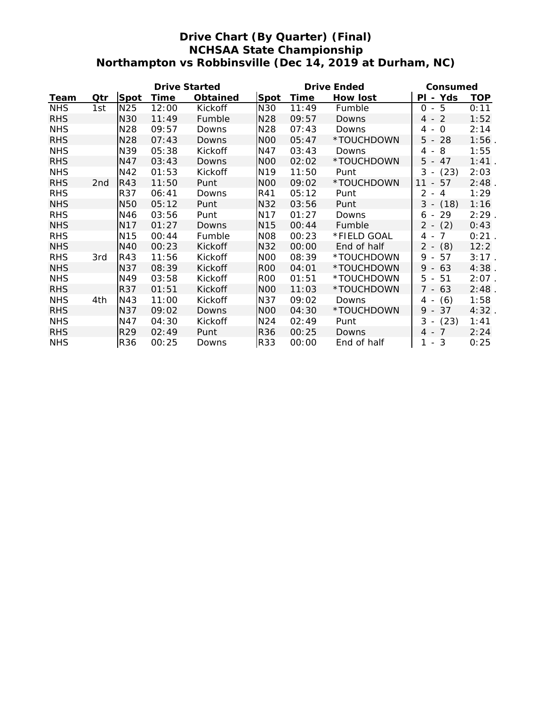## **Drive Chart (By Quarter) (Final) NCHSAA State Championship Northampton vs Robbinsville (Dec 14, 2019 at Durham, NC)**

| Drive Started |                 |                 |       |          | Drive Ended      | Consumed |             |                       |            |
|---------------|-----------------|-----------------|-------|----------|------------------|----------|-------------|-----------------------|------------|
| Team          | Qtr             | Spot            | Time  | Obtained | Spot             | Time     | How lost    | - Yds<br>PI           | <b>TOP</b> |
| <b>NHS</b>    | 1st             | N25             | 12:00 | Kickoff  | N30              | 11:49    | Fumble      | $0 - 5$               | 0:11       |
| <b>RHS</b>    |                 | N30             | 11:49 | Fumble   | N28              | 09:57    | Downs       | $4 - 2$               | 1:52       |
| <b>NHS</b>    |                 | N28             | 09:57 | Downs    | N28              | 07:43    | Downs       | $-0$<br>4             | 2:14       |
| <b>RHS</b>    |                 | N28             | 07:43 | Downs    | N <sub>O</sub> O | 05:47    | *TOUCHDOWN  | $5 - 28$              | 1:56       |
| <b>NHS</b>    |                 | N39             | 05:38 | Kickoff  | N47              | 03:43    | Downs       | - 8<br>4              | 1:55       |
| <b>RHS</b>    |                 | N47             | 03:43 | Downs    | N <sub>O</sub> O | 02:02    | *TOUCHDOWN  | $5 - 47$              | 1:41       |
| <b>NHS</b>    |                 | N42             | 01:53 | Kickoff  | N <sub>19</sub>  | 11:50    | Punt        | $3 -$<br>(23)         | 2:03       |
| <b>RHS</b>    | 2 <sub>nd</sub> | R43             | 11:50 | Punt     | N <sub>0</sub>   | 09:02    | *TOUCHDOWN  | 11<br>$-57$           | 2:48       |
| <b>RHS</b>    |                 | R37             | 06:41 | Downs    | R41              | 05:12    | Punt        | $2 - 4$               | 1:29       |
| <b>NHS</b>    |                 | N <sub>50</sub> | 05:12 | Punt     | N32              | 03:56    | Punt        | $3 - (18)$            | 1:16       |
| <b>RHS</b>    |                 | N46             | 03:56 | Punt     | N17              | 01:27    | Downs       | 6 - 29                | $2:29$ .   |
| <b>NHS</b>    |                 | N17             | 01:27 | Downs    | N15              | 00:44    | Fumble      | $2 - (2)$             | 0:43       |
| <b>RHS</b>    |                 | N <sub>15</sub> | 00:44 | Fumble   | N08              | 00:23    | *FIELD GOAL | $\overline{7}$<br>4 - | 0:21       |
| <b>NHS</b>    |                 | N40             | 00:23 | Kickoff  | N32              | 00:00    | End of half | $2 - (8)$             | 12:2       |
| <b>RHS</b>    | 3rd             | R43             | 11:56 | Kickoff  | NOO              | 08:39    | *TOUCHDOWN  | 57<br>9 -             | 3:17.      |
| <b>NHS</b>    |                 | N37             | 08:39 | Kickoff  | R <sub>00</sub>  | 04:01    | *TOUCHDOWN  | $9 - 63$              | 4:38       |
| <b>NHS</b>    |                 | N49             | 03:58 | Kickoff  | R <sub>00</sub>  | 01:51    | *TOUCHDOWN  | $5 - 51$              | $2:07$ .   |
| <b>RHS</b>    |                 | R37             | 01:51 | Kickoff  | N <sub>0</sub>   | 11:03    | *TOUCHDOWN  | $7 - 63$              | 2:48       |
| <b>NHS</b>    | 4th             | N43             | 11:00 | Kickoff  | N37              | 09:02    | Downs       | (6)<br>$4 -$          | 1:58       |
| <b>RHS</b>    |                 | N37             | 09:02 | Downs    | N <sub>O</sub> O | 04:30    | *TOUCHDOWN  | $9 - 37$              | 4:32       |
| <b>NHS</b>    |                 | N47             | 04:30 | Kickoff  | N24              | 02:49    | Punt        | $3 - (23)$            | 1:41       |
| <b>RHS</b>    |                 | R29             | 02:49 | Punt     | <b>R36</b>       | 00:25    | Downs       | 4 - 7                 | 2:24       |
| <b>NHS</b>    |                 | R36             | 00:25 | Downs    | R33              | 00:00    | End of half | 1 - 3                 | 0:25       |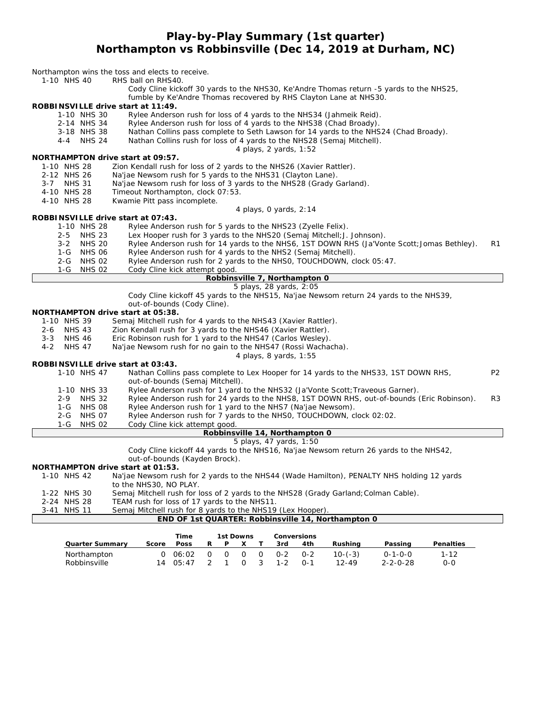## **Play-by-Play Summary (1st quarter) Northampton vs Robbinsville (Dec 14, 2019 at Durham, NC)**

| 1-10 NHS 40                                        | Northampton wins the toss and elects to receive.<br>RHS ball on RHS40.                                                                                       |                |  |  |  |  |
|----------------------------------------------------|--------------------------------------------------------------------------------------------------------------------------------------------------------------|----------------|--|--|--|--|
|                                                    | Cody Cline kickoff 30 yards to the NHS30, Ke'Andre Thomas return -5 yards to the NHS25,<br>fumble by Ke'Andre Thomas recovered by RHS Clayton Lane at NHS30. |                |  |  |  |  |
| ROBBINSVILLE drive start at 11:49.                 |                                                                                                                                                              |                |  |  |  |  |
| 1-10 NHS 30                                        | Rylee Anderson rush for loss of 4 yards to the NHS34 (Jahmeik Reid).                                                                                         |                |  |  |  |  |
| 2-14 NHS 34                                        | Rylee Anderson rush for loss of 4 yards to the NHS38 (Chad Broady).                                                                                          |                |  |  |  |  |
| 3-18 NHS 38                                        | Nathan Collins pass complete to Seth Lawson for 14 yards to the NHS24 (Chad Broady).                                                                         |                |  |  |  |  |
| 4-4 NHS 24                                         | Nathan Collins rush for loss of 4 yards to the NHS28 (Semaj Mitchell).                                                                                       |                |  |  |  |  |
|                                                    | 4 plays, 2 yards, 1:52                                                                                                                                       |                |  |  |  |  |
| NORTHAMPTON drive start at 09:57.                  |                                                                                                                                                              |                |  |  |  |  |
| 1-10 NHS 28                                        | Zion Kendall rush for loss of 2 yards to the NHS26 (Xavier Rattler).                                                                                         |                |  |  |  |  |
| 2-12 NHS 26                                        | Na'jae Newsom rush for 5 yards to the NHS31 (Clayton Lane).                                                                                                  |                |  |  |  |  |
| <b>NHS 31</b><br>$3 - 7$                           | Na'jae Newsom rush for loss of 3 yards to the NHS28 (Grady Garland).                                                                                         |                |  |  |  |  |
| 4-10 NHS 28                                        | Timeout Northampton, clock 07:53.                                                                                                                            |                |  |  |  |  |
| 4-10 NHS 28                                        | Kwamie Pitt pass incomplete.                                                                                                                                 |                |  |  |  |  |
| ROBBINSVILLE drive start at 07:43.                 | 4 plays, 0 yards, 2:14                                                                                                                                       |                |  |  |  |  |
| 1-10 NHS 28                                        | Rylee Anderson rush for 5 yards to the NHS23 (Zyelle Felix).                                                                                                 |                |  |  |  |  |
| $2 - 5$<br><b>NHS 23</b>                           | Lex Hooper rush for 3 yards to the NHS20 (Semaj Mitchell; J. Johnson).                                                                                       |                |  |  |  |  |
| <b>NHS 20</b><br>$3 - 2$                           | Rylee Anderson rush for 14 yards to the NHS6, 1ST DOWN RHS (Ja'Vonte Scott; Jomas Bethley).                                                                  | R1             |  |  |  |  |
| <b>NHS 06</b><br>1-G                               | Rylee Anderson rush for 4 yards to the NHS2 (Semaj Mitchell).                                                                                                |                |  |  |  |  |
| <b>NHS 02</b><br>$2 - G$                           | Rylee Anderson rush for 2 yards to the NHSO, TOUCHDOWN, clock 05:47.                                                                                         |                |  |  |  |  |
| <b>NHS 02</b><br>1-G                               | Cody Cline kick attempt good.                                                                                                                                |                |  |  |  |  |
|                                                    | Robbinsville 7, Northampton 0                                                                                                                                |                |  |  |  |  |
|                                                    | 5 plays, 28 yards, 2:05                                                                                                                                      |                |  |  |  |  |
|                                                    | Cody Cline kickoff 45 yards to the NHS15, Na'jae Newsom return 24 yards to the NHS39,                                                                        |                |  |  |  |  |
|                                                    | out-of-bounds (Cody Cline).                                                                                                                                  |                |  |  |  |  |
| NORTHAMPTON drive start at 05:38.                  |                                                                                                                                                              |                |  |  |  |  |
| 1-10 NHS 39                                        | Semaj Mitchell rush for 4 yards to the NHS43 (Xavier Rattler).                                                                                               |                |  |  |  |  |
| <b>NHS 43</b><br>$2 - 6$                           | Zion Kendall rush for 3 yards to the NHS46 (Xavier Rattler).                                                                                                 |                |  |  |  |  |
| <b>NHS 46</b><br>$3 - 3$                           | Eric Robinson rush for 1 yard to the NHS47 (Carlos Wesley).                                                                                                  |                |  |  |  |  |
| $4 - 2$<br><b>NHS 47</b>                           | Na'jae Newsom rush for no gain to the NHS47 (Rossi Wachacha).                                                                                                |                |  |  |  |  |
|                                                    | 4 plays, 8 yards, 1:55                                                                                                                                       |                |  |  |  |  |
| ROBBINSVILLE drive start at 03:43.                 |                                                                                                                                                              |                |  |  |  |  |
| 1-10 NHS 47                                        | Nathan Collins pass complete to Lex Hooper for 14 yards to the NHS33, 1ST DOWN RHS,                                                                          | P <sub>2</sub> |  |  |  |  |
|                                                    | out-of-bounds (Semaj Mitchell).                                                                                                                              |                |  |  |  |  |
| 1-10 NHS 33                                        | Rylee Anderson rush for 1 yard to the NHS32 (Ja'Vonte Scott; Traveous Garner).                                                                               |                |  |  |  |  |
| $2 - 9$<br><b>NHS 32</b>                           | Rylee Anderson rush for 24 yards to the NHS8, 1ST DOWN RHS, out-of-bounds (Eric Robinson).                                                                   | R3             |  |  |  |  |
| NHS 08<br>1-G                                      | Rylee Anderson rush for 1 yard to the NHS7 (Na'jae Newsom).                                                                                                  |                |  |  |  |  |
| <b>NHS 07</b><br>$2 - G$<br><b>NHS 02</b>          | Rylee Anderson rush for 7 yards to the NHSO, TOUCHDOWN, clock 02:02.                                                                                         |                |  |  |  |  |
| 1-G                                                | Cody Cline kick attempt good.<br>Robbinsville 14, Northampton 0                                                                                              |                |  |  |  |  |
|                                                    | 5 plays, 47 yards, 1:50                                                                                                                                      |                |  |  |  |  |
|                                                    | Cody Cline kickoff 44 yards to the NHS16, Na'jae Newsom return 26 yards to the NHS42,                                                                        |                |  |  |  |  |
|                                                    | out-of-bounds (Kayden Brock).                                                                                                                                |                |  |  |  |  |
| NORTHAMPTON drive start at 01:53.                  |                                                                                                                                                              |                |  |  |  |  |
| 1-10 NHS 42                                        | Na'jae Newsom rush for 2 yards to the NHS44 (Wade Hamilton), PENALTY NHS holding 12 yards                                                                    |                |  |  |  |  |
|                                                    | to the NHS30, NO PLAY.                                                                                                                                       |                |  |  |  |  |
| 1-22 NHS 30                                        | Semaj Mitchell rush for loss of 2 yards to the NHS28 (Grady Garland; Colman Cable).                                                                          |                |  |  |  |  |
| 2-24 NHS 28                                        | TEAM rush for loss of 17 yards to the NHS11.                                                                                                                 |                |  |  |  |  |
| 3-41 NHS 11                                        | Semaj Mitchell rush for 8 yards to the NHS19 (Lex Hooper).                                                                                                   |                |  |  |  |  |
| END OF 1st QUARTER: Robbinsville 14, Northampton 0 |                                                                                                                                                              |                |  |  |  |  |
|                                                    |                                                                                                                                                              |                |  |  |  |  |
|                                                    | Conversions<br>Time<br>1st Downs                                                                                                                             |                |  |  |  |  |
| Quarter Summary                                    | Poss<br>Rushing<br>Passing<br>Penalties<br>Score<br>R<br>Ρ<br>Τ<br>3rd<br>4th<br>X                                                                           |                |  |  |  |  |

Northampton 0 06:02 0 0 0 0 0-2 0-2 10-(-3) 0-1-0-0 1-12 Robbinsville 14 05:47 2 1 0 3 1-2 0-1 12-49 2-2-0-28 0-0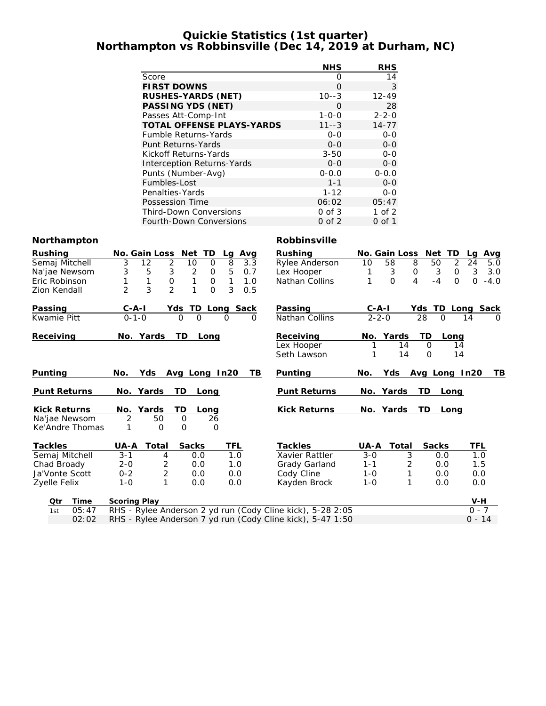#### **Quickie Statistics (1st quarter) Northampton vs Robbinsville (Dec 14, 2019 at Durham, NC)**

|                     |                                                            | <b>NHS</b>          | <b>RHS</b>                      |                                   |
|---------------------|------------------------------------------------------------|---------------------|---------------------------------|-----------------------------------|
|                     | Score                                                      | $\mathbf{O}$        | 14                              |                                   |
|                     | <b>FIRST DOWNS</b>                                         | $\overline{O}$      | 3                               |                                   |
|                     | RUSHES-YARDS (NET)                                         | $10 - -3$           | $12 - 49$                       |                                   |
|                     | PASSING YDS (NET)                                          | $\Omega$            | 28                              |                                   |
|                     | Passes Att-Comp-Int                                        | $1 - 0 - 0$         | $2 - 2 - 0$                     |                                   |
|                     | TOTAL OFFENSE PLAYS-YARDS                                  | $11--3$             | $14 - 77$                       |                                   |
|                     | Fumble Returns-Yards                                       | $O-O$               | $O-O$                           |                                   |
|                     | Punt Returns-Yards                                         | $0 - 0$             | $0-0$                           |                                   |
|                     | Kickoff Returns-Yards                                      | $3 - 50$            | $0 - 0$                         |                                   |
|                     | Interception Returns-Yards                                 | $O-O$               | $0-0$                           |                                   |
|                     | Punts (Number-Avg)                                         | $0 - 0.0$           | $0 - 0.0$                       |                                   |
|                     | Fumbles-Lost                                               | $1 - 1$             | $0-0$                           |                                   |
|                     | Penalties-Yards                                            | $1 - 12$            | $O-O$                           |                                   |
|                     | Possession Time                                            | 06:02               | 05:47                           |                                   |
|                     | <b>Third-Down Conversions</b>                              | $0$ of $3$          | $1$ of $2$                      |                                   |
|                     | Fourth-Down Conversions                                    | $0$ of $2$          | $0$ of 1                        |                                   |
| Northampton         |                                                            | Robbinsville        |                                 |                                   |
| Rushing             | No. Gain Loss Net TD<br>Lg Avg                             | Rushing             | No. Gain Loss Net TD            | Lg Avg                            |
| Semaj Mitchell      | 3<br>$\overline{2}$<br>10<br>12<br>$\circ$<br>8<br>3.3     | Rylee Anderson      | 8<br>10<br>58                   | $\overline{2}$<br>24<br>50<br>5.0 |
| Na'jae Newsom       | 3<br>5<br>3<br>$\overline{2}$<br>5<br>0<br>0.7             | Lex Hooper          | 3<br>1<br>0                     | 3<br>3<br>0<br>3.0                |
| Eric Robinson       | $\mathbf{1}$<br>$\mathsf O$<br>1<br>1<br>0<br>1<br>1.0     | Nathan Collins      | 1<br>$\Omega$<br>$\overline{4}$ | $-4$<br>$\Omega$<br>$0 - 4.0$     |
| Zion Kendall        | 3<br>$\overline{2}$<br>2<br>1<br>0<br>3<br>0.5             |                     |                                 |                                   |
|                     |                                                            |                     |                                 |                                   |
| Passing             | <u>C-A-I</u><br>Yds TD<br><b>Long Sack</b>                 | Passing             | $C-A-I$                         | Yds TD Long<br>Sack               |
| Kwamie Pitt         | $0 - 1 - 0$<br>$\Omega$<br>$\Omega$                        | Nathan Collins      | $2 - 2 - 0$<br>28               | $\Omega$<br>14                    |
| Receiving           | No. Yards<br>TD<br>Long                                    | Receiving           | No. Yards                       | TD<br>Long                        |
|                     |                                                            | Lex Hooper          | 14                              | 0<br>14                           |
|                     |                                                            | Seth Lawson         | 14<br>1                         | $\overline{O}$<br>14              |
|                     |                                                            |                     |                                 |                                   |
| Punting             | No.<br>Yds<br>Avg Long In20<br>TB                          | Punting             | Yds<br>No.                      | Avg Long In20<br>TВ               |
|                     |                                                            |                     |                                 |                                   |
| <b>Punt Returns</b> | No. Yards<br>TD.<br>Long                                   | <b>Punt Returns</b> | No. Yards<br>TD                 | Long                              |
| Kick Returns        | No. Yards<br>ТD<br>Long                                    | Kick Returns        | No. Yards<br>TD                 | Long                              |
| Na'jae Newsom       | $\overline{2}$<br>50<br>$\circ$<br>26                      |                     |                                 |                                   |
| Ke'Andre Thomas     | 1<br>$\circ$<br>O<br>O                                     |                     |                                 |                                   |
| Tackles             | UA-A<br>Total<br>Sacks<br>TFL                              | Tackles             | UA-A<br>Total                   | <b>TFL</b><br>Sacks               |
| Semaj Mitchell      | $3 - 1$<br>4<br>0.0<br>1.0                                 | Xavier Rattler      | $3 - 0$<br>3                    | 0.0<br>1.0                        |
| Chad Broady         | $2 - 0$<br>2<br>0.0<br>1.0                                 | Grady Garland       | $1 - 1$<br>2                    | 0.0<br>1.5                        |
| Ja'Vonte Scott      | $\overline{2}$<br>$0 - 2$<br>0.0<br>0.0                    | Cody Cline          | $1 - 0$<br>1                    | 0.0<br>0.0                        |
| Zyelle Felix        | $1 - 0$<br>$\mathbf{1}$<br>0.0<br>0.0                      | Kayden Brock        | $1 - 0$<br>1                    | 0.0<br>0.0                        |
|                     |                                                            |                     |                                 |                                   |
| Time<br>Qtr         | Scoring Play                                               |                     |                                 | V-H                               |
| 05:47<br>1st        | RHS - Rylee Anderson 2 yd run (Cody Cline kick), 5-28 2:05 |                     |                                 | $0 - 7$                           |
| 02:02               | RHS - Rylee Anderson 7 yd run (Cody Cline kick), 5-47 1:50 |                     |                                 | $0 - 14$                          |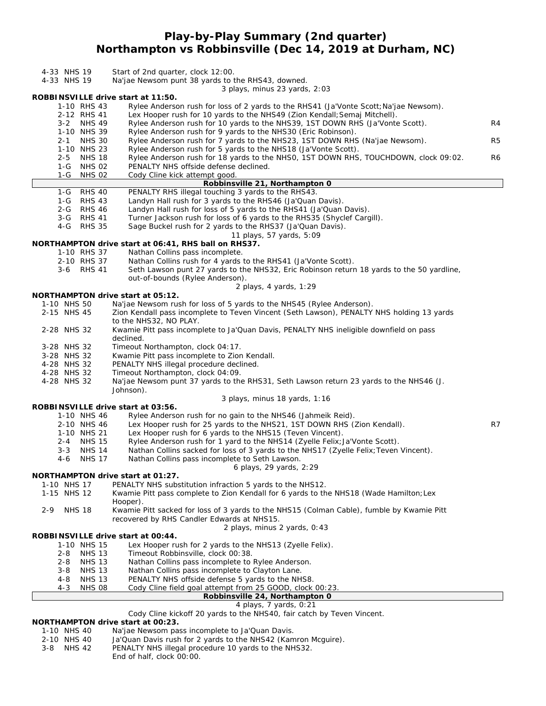## **Play-by-Play Summary (2nd quarter) Northampton vs Robbinsville (Dec 14, 2019 at Durham, NC)**

| 4-33 NHS 19<br>4-33 NHS 19                           | Start of 2nd quarter, clock 12:00.<br>Na'jae Newsom punt 38 yards to the RHS43, downed.                                                                            |    |
|------------------------------------------------------|--------------------------------------------------------------------------------------------------------------------------------------------------------------------|----|
| ROBBINSVILLE drive start at 11:50.                   | 3 plays, minus 23 yards, 2:03                                                                                                                                      |    |
| 1-10 RHS 43<br>2-12 RHS 41                           | Rylee Anderson rush for loss of 2 yards to the RHS41 (Ja'Vonte Scott; Na'jae Newsom).<br>Lex Hooper rush for 10 yards to the NHS49 (Zion Kendall; Semaj Mitchell). |    |
| 3-2 NHS 49                                           | Rylee Anderson rush for 10 yards to the NHS39, 1ST DOWN RHS (Ja'Vonte Scott).                                                                                      | R4 |
| 1-10 NHS 39<br>2-1 NHS 30                            | Rylee Anderson rush for 9 yards to the NHS30 (Eric Robinson).<br>Rylee Anderson rush for 7 yards to the NHS23, 1ST DOWN RHS (Na'jae Newsom).                       | R5 |
| 1-10 NHS 23<br><b>NHS 18</b><br>$2 - 5$              | Rylee Anderson rush for 5 yards to the NHS18 (Ja'Vonte Scott).<br>Rylee Anderson rush for 18 yards to the NHSO, 1ST DOWN RHS, TOUCHDOWN, clock 09:02.              | R6 |
| $1-G$<br><b>NHS 02</b>                               | PENALTY NHS offside defense declined.                                                                                                                              |    |
| 1-G<br><b>NHS 02</b>                                 | Cody Cline kick attempt good<br>Robbinsville 21, Northampton 0                                                                                                     |    |
| <b>RHS 40</b><br>$1-G$                               | PENALTY RHS illegal touching 3 yards to the RHS43.                                                                                                                 |    |
| 1-G RHS 43<br>$2 - G$<br><b>RHS 46</b>               | Landyn Hall rush for 3 yards to the RHS46 (Ja'Quan Davis).<br>Landyn Hall rush for loss of 5 yards to the RHS41 (Ja'Quan Davis).                                   |    |
| 3-G RHS 41                                           | Turner Jackson rush for loss of 6 yards to the RHS35 (Shyclef Cargill).                                                                                            |    |
| $4-G$<br><b>RHS 35</b>                               | Sage Buckel rush for 2 yards to the RHS37 (Ja'Quan Davis).                                                                                                         |    |
|                                                      | 11 plays, 57 yards, 5:09<br>NORTHAMPTON drive start at 06:41, RHS ball on RHS37.                                                                                   |    |
| 1-10 RHS 37                                          | Nathan Collins pass incomplete.                                                                                                                                    |    |
| 2-10 RHS 37                                          | Nathan Collins rush for 4 yards to the RHS41 (Ja'Vonte Scott).                                                                                                     |    |
| 3-6 RHS 41                                           | Seth Lawson punt 27 yards to the NHS32, Eric Robinson return 18 yards to the 50 yardline,<br>out-of-bounds (Rylee Anderson).                                       |    |
|                                                      | 2 plays, 4 yards, 1:29                                                                                                                                             |    |
| NORTHAMPTON drive start at 05:12.                    |                                                                                                                                                                    |    |
| 1-10 NHS 50<br>2-15 NHS 45                           | Na'jae Newsom rush for loss of 5 yards to the NHS45 (Rylee Anderson).                                                                                              |    |
|                                                      | Zion Kendall pass incomplete to Teven Vincent (Seth Lawson), PENALTY NHS holding 13 yards<br>to the NHS32, NO PLAY.                                                |    |
| 2-28 NHS 32                                          | Kwamie Pitt pass incomplete to Ja'Quan Davis, PENALTY NHS ineligible downfield on pass                                                                             |    |
| 3-28 NHS 32                                          | declined.<br>Timeout Northampton, clock 04:17.                                                                                                                     |    |
| 3-28 NHS 32                                          | Kwamie Pitt pass incomplete to Zion Kendall.                                                                                                                       |    |
| 4-28 NHS 32                                          | PENALTY NHS illegal procedure declined.                                                                                                                            |    |
| 4-28 NHS 32<br>4-28 NHS 32                           | Timeout Northampton, clock 04:09.                                                                                                                                  |    |
|                                                      | Na'jae Newsom punt 37 yards to the RHS31, Seth Lawson return 23 yards to the NHS46 (J.<br>Johnson).                                                                |    |
|                                                      | 3 plays, minus 18 yards, 1:16                                                                                                                                      |    |
| ROBBINSVILLE drive start at 03:56.<br>1-10 NHS 46    | Rylee Anderson rush for no gain to the NHS46 (Jahmeik Reid).                                                                                                       |    |
| 2-10 NHS 46                                          | Lex Hooper rush for 25 yards to the NHS21, 1ST DOWN RHS (Zion Kendall).                                                                                            | R7 |
| 1-10 NHS 21                                          | Lex Hooper rush for 6 yards to the NHS15 (Teven Vincent).                                                                                                          |    |
| 2-4 NHS 15                                           | Rylee Anderson rush for 1 yard to the NHS14 (Zyelle Felix; Ja'Vonte Scott).                                                                                        |    |
| $3 - 3$<br><b>NHS 14</b><br>$4-6$<br><b>NHS 17</b>   | Nathan Collins sacked for loss of 3 yards to the NHS17 (Zyelle Felix; Teven Vincent).<br>Nathan Collins pass incomplete to Seth Lawson.                            |    |
|                                                      | 6 plays, 29 yards, 2:29                                                                                                                                            |    |
| NORTHAMPTON drive start at 01:27.                    |                                                                                                                                                                    |    |
| 1-10 NHS 17<br>1-15 NHS 12                           | PENALTY NHS substitution infraction 5 yards to the NHS12.<br>Kwamie Pitt pass complete to Zion Kendall for 6 yards to the NHS18 (Wade Hamilton; Lex                |    |
|                                                      | Hooper).                                                                                                                                                           |    |
| <b>NHS 18</b><br>$2 - 9$                             | Kwamie Pitt sacked for loss of 3 yards to the NHS15 (Colman Cable), fumble by Kwamie Pitt                                                                          |    |
|                                                      | recovered by RHS Candler Edwards at NHS15.<br>2 plays, minus 2 yards, 0:43                                                                                         |    |
| ROBBINSVILLE drive start at 00:44.                   |                                                                                                                                                                    |    |
| 1-10 NHS 15                                          | Lex Hooper rush for 2 yards to the NHS13 (Zyelle Felix).                                                                                                           |    |
| $2 - 8$<br><b>NHS 13</b><br><b>NHS 13</b><br>$2 - 8$ | Timeout Robbinsville, clock 00:38.                                                                                                                                 |    |
| <b>NHS 13</b><br>$3 - 8$                             | Nathan Collins pass incomplete to Rylee Anderson.<br>Nathan Collins pass incomplete to Clayton Lane.                                                               |    |
| <b>NHS 13</b><br>$4 - 8$                             | PENALTY NHS offside defense 5 yards to the NHS8.                                                                                                                   |    |
| <b>NHS 08</b><br>$4 - 3$                             | Cody Cline field goal attempt from 25 GOOD, clock 00:23.                                                                                                           |    |
|                                                      | Robbinsville 24, Northampton 0<br>4 plays, 7 yards, 0:21                                                                                                           |    |
|                                                      | Cody Cline kickoff 20 yards to the NHS40, fair catch by Teven Vincent.                                                                                             |    |

**NORTHAMPTON drive start at 00:23.**

- 1-10 NHS 40 Na'jae Newsom pass incomplete to Ja'Quan Davis.
- 2-10 NHS 40 Ja'Quan Davis rush for 2 yards to the NHS42 (Kamron Mcguire).
- 3-8 NHS 42 PENALTY NHS illegal procedure 10 yards to the NHS32.
	- End of half, clock 00:00.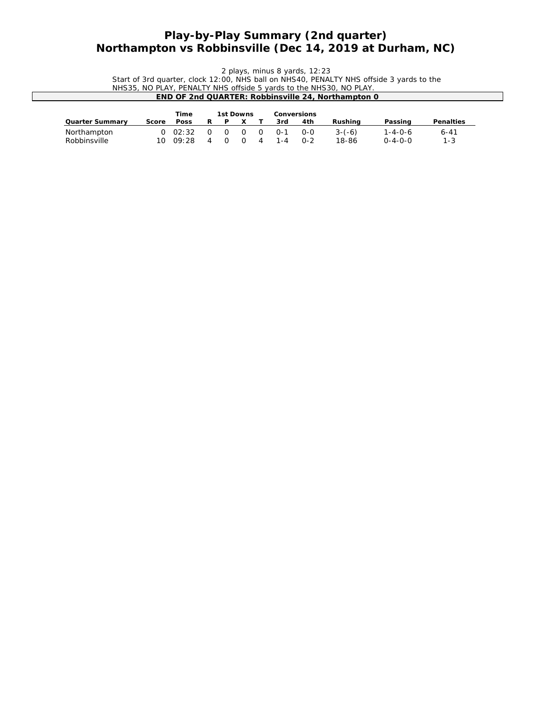## **Play-by-Play Summary (2nd quarter) Northampton vs Robbinsville (Dec 14, 2019 at Durham, NC)**

*2 plays, minus 8 yards, 12:23* Start of 3rd quarter, clock 12:00, NHS ball on NHS40, PENALTY NHS offside 3 yards to the NHS35, NO PLAY, PENALTY NHS offside 5 yards to the NHS30, NO PLAY. **END OF 2nd QUARTER: Robbinsville 24, Northampton 0**

|                 |       | Time            | 1st Downs |   |   |         | Conversions |          |                 |           |
|-----------------|-------|-----------------|-----------|---|---|---------|-------------|----------|-----------------|-----------|
| Quarter Summarv | Score | Poss            | P         |   |   | 3rd     | 4th         | Rushina  | Passing         | Penalties |
| Northampton     |       | $0 \quad 02:32$ | $\Omega$  | 0 | 0 | 0-1     | $O - O$     | $3-(-6)$ | 1-4-0-6         | $6 - 41$  |
| Robbinsville    | 10.   | 09:28           |           |   | 4 | $1 - 4$ | $0 - 2$     | 18-86    | $0 - 4 - 0 - 0$ | $1 - 3$   |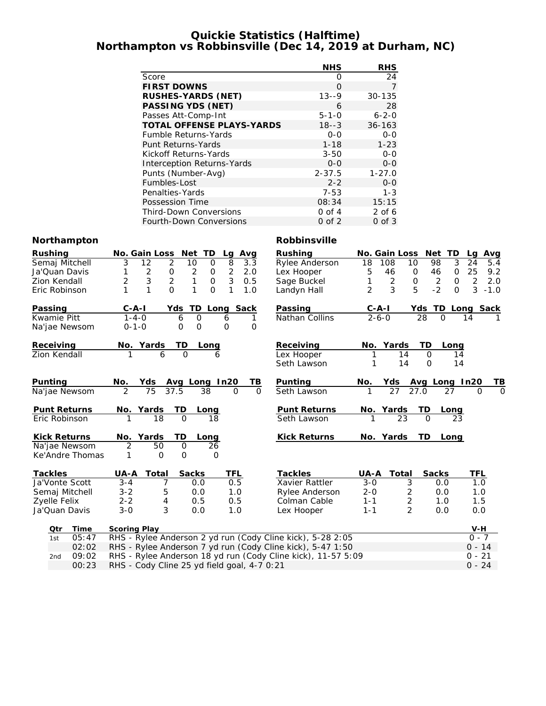### **Quickie Statistics (Halftime) Northampton vs Robbinsville (Dec 14, 2019 at Durham, NC)**

|                                | <b>NHS</b>   | <b>RHS</b>           |
|--------------------------------|--------------|----------------------|
| Score                          | $\Omega$     | 24                   |
| <b>FIRST DOWNS</b>             | $\Omega$     | 7                    |
| RUSHES-YARDS (NET)             | $13 - -9$    | $30 - 135$           |
| PASSING YDS (NET)              | 6            | 28                   |
| Passes Att-Comp-Int            | $5 - 1 - 0$  | $6 - 2 - 0$          |
| TOTAL OFFENSE PLAYS-YARDS      | $18 - -3$    | $36 - 163$           |
| <b>Fumble Returns-Yards</b>    | $O-O$        | $0 - 0$              |
| Punt Returns-Yards             | $1 - 18$     | $1 - 23$             |
| Kickoff Returns-Yards          | $3 - 50$     | $O-O$                |
| Interception Returns-Yards     | $O-O$        | $0 - 0$              |
| Punts (Number-Avg)             | $2 - 37.5$   | $1 - 27.0$           |
| Fumbles-Lost                   | $2 - 2$      | $0-0$                |
| Penalties-Yards                | $7 - 53$     | $1 - 3$              |
| Possession Time                | 08:34        | 15:15                |
| Third-Down Conversions         | $0$ of $4$   | $2$ of 6             |
| Fourth-Down Conversions        | $0$ of $2$   | $0$ of $3$           |
|                                | Robbinsville |                      |
| No. Gain Loss Net TD<br>La Ava | Rushing      | No. Gain Loss Net TD |

# **Northampton**

| Rushing             | <b>Net</b><br>Avg<br>No. Gain Loss<br>TD<br>Lg                                                       | Rushing                 | No. Gain Loss                      | Net<br>TD                         | Avg<br>La             |  |  |  |
|---------------------|------------------------------------------------------------------------------------------------------|-------------------------|------------------------------------|-----------------------------------|-----------------------|--|--|--|
| Semaj Mitchell      | $\overline{3}$<br>$\overline{2}$<br>$\overline{8}$<br>$\overline{12}$<br>$\overline{0}$<br>3.3<br>10 | Rylee Anderson          | 18<br>108                          | $\overline{3}$<br>10<br>98        | 24<br>5.4             |  |  |  |
| Ja'Quan Davis       | $\sqrt{2}$<br>$\frac{2}{3}$<br>$\overline{c}$<br>$\mathsf O$<br>2.0<br>1<br>0                        | Lex Hooper              | 5<br>46                            | 46<br>$\mathsf O$<br>$\mathsf{O}$ | 25<br>9.2             |  |  |  |
| Zion Kendall        | $\overline{2}$<br>$\mathbf{1}$<br>3<br>$\overline{2}$<br>$\mathsf{O}$<br>0.5                         | Sage Buckel             | $\overline{2}$<br>1                | $\mathsf{O}$<br>$\mathsf O$<br>2  | $\overline{2}$<br>2.0 |  |  |  |
| Eric Robinson       | $\mathbf{1}$<br>$\overline{O}$<br>1<br>0<br>1<br>1<br>1.0                                            | Landyn Hall             | 3<br>$\overline{2}$                | 5<br>$-2$<br>$\Omega$             | 3<br>$-1.0$           |  |  |  |
| Passing             | TD<br>C-A-I<br>Long Sack<br>Yds                                                                      | Passing                 | <u>C-A-I</u>                       | Yds TD                            | Long Sack             |  |  |  |
| Kwamie Pitt         | $1 - 4 - 0$<br>$\circ$<br>6<br>6                                                                     | Nathan Collins<br>1     | $2 - 6 - 0$                        | 28<br>$\Omega$                    | 14                    |  |  |  |
| Na'jae Newsom       | $0 - 1 - 0$<br>$\mathsf{O}\xspace$<br>$\mathbf 0$<br>$\mathbf{O}$                                    | 0                       |                                    |                                   |                       |  |  |  |
| Receiving           | TD<br>No. Yards<br>Long                                                                              | Receiving               | Yards<br>No.                       | TD.<br>Long                       |                       |  |  |  |
| Zion Kendall        | $\overline{0}$<br>6<br>1<br>6                                                                        | Lex Hooper              | 14<br>1                            | $\Omega$<br>14                    |                       |  |  |  |
|                     |                                                                                                      | Seth Lawson             | 14                                 | $\Omega$<br>14                    |                       |  |  |  |
| Punting             | No.<br>Yds<br>Avg Long In20                                                                          | Punting<br>TВ           | Yds<br>No.                         | Avg Long In20                     | TВ                    |  |  |  |
| Na'jae Newsom       | $\mathfrak{D}$<br>75<br>37.5<br>38<br>$\Omega$                                                       | $\Omega$<br>Seth Lawson | 27                                 | 27.0<br>27                        | $\Omega$<br>$\Omega$  |  |  |  |
| <b>Punt Returns</b> | TD<br>Yards<br>No.<br>Long                                                                           | Punt Returns            | No. Yards                          | TD<br>L <sub>ong</sub>            |                       |  |  |  |
| Eric Robinson       | 18<br>$\Omega$<br>18                                                                                 | Seth Lawson             | 23                                 | 23<br>$\Omega$                    |                       |  |  |  |
| <b>Kick Returns</b> | No. Yards<br>TD<br>Long                                                                              | Kick Returns            | No. Yards                          | TD<br>Long                        |                       |  |  |  |
| Na'jae Newsom       | $\overline{2}$<br>50<br>$\Omega$<br>26                                                               |                         |                                    |                                   |                       |  |  |  |
| Ke'Andre Thomas     | $\mathcal{O}$<br>1<br>$\circ$<br>0                                                                   |                         |                                    |                                   |                       |  |  |  |
| Tackles             | Sacks<br>TFL<br>UA-A<br>Total                                                                        | Tackles                 | UA-A<br>Total                      | Sacks                             | TFL                   |  |  |  |
| Ja'Vonte Scott      | $3 - 4$<br>7<br>0.5<br>0.0                                                                           | Xavier Rattler          | $3-0$<br>3                         | 0.0                               | 1.0                   |  |  |  |
| Semaj Mitchell      | $3 - 2$<br>5<br>0.0<br>1.0                                                                           | Rylee Anderson          | $\overline{2}$<br>$2 - 0$          | 0.0                               | 1.0                   |  |  |  |
| Zyelle Felix        | $2 - 2$<br>4<br>0.5<br>0.5                                                                           | Colman Cable            | $\overline{\mathbf{c}}$<br>$1 - 1$ | 1.0                               | 1.5                   |  |  |  |
| Ja'Quan Davis       | 3<br>$3 - 0$<br>0.0<br>1.0                                                                           | Lex Hooper              | $\overline{2}$<br>$1 - 1$          | 0.0                               | 0.0                   |  |  |  |
| Time<br>Qtr         | Scoring Play                                                                                         |                         |                                    |                                   | $V-H$                 |  |  |  |
| 05:47<br>1st        | RHS - Rylee Anderson 2 yd run (Cody Cline kick), 5-28 2:05                                           |                         |                                    |                                   | $0 - 7$               |  |  |  |
| 02:02               | RHS - Rylee Anderson 7 yd run (Cody Cline kick), 5-47 1:50                                           |                         |                                    |                                   | $0 - 14$              |  |  |  |
| 09:02<br>2nd        | RHS - Rylee Anderson 18 yd run (Cody Cline kick), 11-57 5:09                                         |                         |                                    |                                   | $0 - 21$              |  |  |  |
| 00:23               | RHS - Cody Cline 25 yd field goal, 4-7 0:21<br>$0 - 24$                                              |                         |                                    |                                   |                       |  |  |  |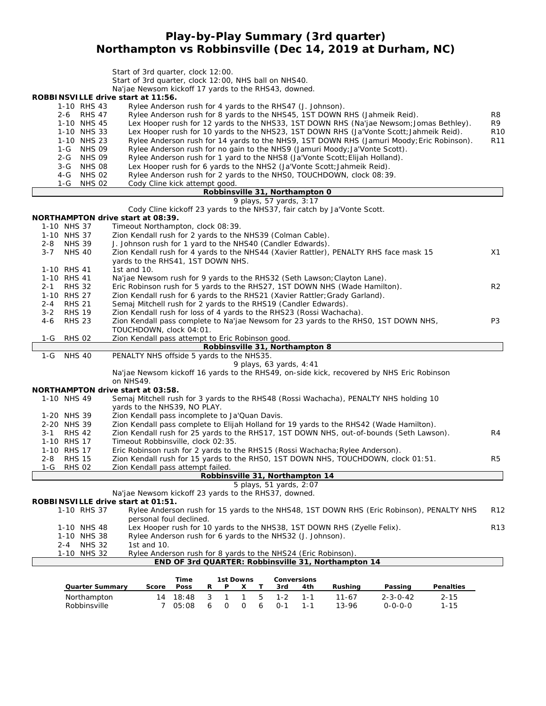## **Play-by-Play Summary (3rd quarter) Northampton vs Robbinsville (Dec 14, 2019 at Durham, NC)**

|            |                                          | Start of 3rd quarter, clock 12:00.<br>Start of 3rd quarter, clock 12:00, NHS ball on NHS40.<br>Na'jae Newsom kickoff 17 yards to the RHS43, downed.<br>ROBBINSVILLE drive start at 11:56.                                           |                 |
|------------|------------------------------------------|-------------------------------------------------------------------------------------------------------------------------------------------------------------------------------------------------------------------------------------|-----------------|
|            | 1-10 RHS 43<br>2-6 RHS 47<br>1-10 NHS 45 | Rylee Anderson rush for 4 yards to the RHS47 (J. Johnson).<br>Rylee Anderson rush for 8 yards to the NHS45, 1ST DOWN RHS (Jahmeik Reid).<br>Lex Hooper rush for 12 yards to the NHS33, 1ST DOWN RHS (Na'jae Newsom; Jomas Bethley). | R8<br>R9        |
|            | 1-10 NHS 33                              | Lex Hooper rush for 10 yards to the NHS23, 1ST DOWN RHS (Ja'Vonte Scott; Jahmeik Reid).                                                                                                                                             | <b>R10</b>      |
|            | 1-10 NHS 23<br><b>NHS 09</b><br>1-G      | Rylee Anderson rush for 14 yards to the NHS9, 1ST DOWN RHS (Jamuri Moody; Eric Robinson).<br>Rylee Anderson rush for no gain to the NHS9 (Jamuri Moody; Ja'Vonte Scott).                                                            | R <sub>11</sub> |
|            | <b>NHS 09</b><br>$2 - G$                 | Rylee Anderson rush for 1 yard to the NHS8 (Ja'Vonte Scott; Elijah Holland).                                                                                                                                                        |                 |
|            | <b>NHS 08</b><br>$3-G$                   | Lex Hooper rush for 6 yards to the NHS2 (Ja'Vonte Scott; Jahmeik Reid).                                                                                                                                                             |                 |
|            | $4-G$<br><b>NHS 02</b><br><b>NHS 02</b>  | Rylee Anderson rush for 2 yards to the NHSO, TOUCHDOWN, clock 08:39.<br>Cody Cline kick attempt good.                                                                                                                               |                 |
|            | 1-G                                      | Robbinsville 31, Northampton 0                                                                                                                                                                                                      |                 |
|            |                                          | 9 plays, 57 yards, 3:17                                                                                                                                                                                                             |                 |
|            |                                          | Cody Cline kickoff 23 yards to the NHS37, fair catch by Ja'Vonte Scott.                                                                                                                                                             |                 |
|            | 1-10 NHS 37                              | NORTHAMPTON drive start at 08:39.<br>Timeout Northampton, clock 08:39.                                                                                                                                                              |                 |
|            | 1-10 NHS 37                              | Zion Kendall rush for 2 yards to the NHS39 (Colman Cable).                                                                                                                                                                          |                 |
|            | 2-8 NHS 39                               | J. Johnson rush for 1 yard to the NHS40 (Candler Edwards).                                                                                                                                                                          |                 |
| $3 - 7$    | <b>NHS 40</b>                            | Zion Kendall rush for 4 yards to the NHS44 (Xavier Rattler), PENALTY RHS face mask 15                                                                                                                                               | X1              |
|            |                                          | yards to the RHS41, 1ST DOWN NHS.                                                                                                                                                                                                   |                 |
|            | 1-10 RHS 41<br>1-10 RHS 41               | 1st and 10.<br>Na'jae Newsom rush for 9 yards to the RHS32 (Seth Lawson; Clayton Lane).                                                                                                                                             |                 |
| $2 - 1$    | <b>RHS 32</b>                            | Eric Robinson rush for 5 yards to the RHS27, 1ST DOWN NHS (Wade Hamilton).                                                                                                                                                          | R <sub>2</sub>  |
|            | 1-10 RHS 27                              | Zion Kendall rush for 6 yards to the RHS21 (Xavier Rattler; Grady Garland).                                                                                                                                                         |                 |
| 2-4        | <b>RHS 21</b>                            | Semaj Mitchell rush for 2 yards to the RHS19 (Candler Edwards).                                                                                                                                                                     |                 |
| $3 - 2$    | <b>RHS 19</b>                            | Zion Kendall rush for loss of 4 yards to the RHS23 (Rossi Wachacha).                                                                                                                                                                |                 |
| 4-6        | <b>RHS 23</b>                            | Zion Kendall pass complete to Na'jae Newsom for 23 yards to the RHSO, 1ST DOWN NHS,<br>TOUCHDOWN, clock 04:01.                                                                                                                      | P3              |
| 1-G        | <b>RHS 02</b>                            | Zion Kendall pass attempt to Eric Robinson good.                                                                                                                                                                                    |                 |
|            |                                          | Robbinsville 31, Northampton 8                                                                                                                                                                                                      |                 |
|            |                                          |                                                                                                                                                                                                                                     |                 |
|            | 1-G NHS 40                               | PENALTY NHS offside 5 yards to the NHS35.                                                                                                                                                                                           |                 |
|            |                                          | 9 plays, 63 yards, 4:41<br>Na'jae Newsom kickoff 16 yards to the RHS49, on-side kick, recovered by NHS Eric Robinson<br>on NHS49.                                                                                                   |                 |
|            |                                          | NORTHAMPTON drive start at 03:58.                                                                                                                                                                                                   |                 |
|            | 1-10 NHS 49                              | Semaj Mitchell rush for 3 yards to the RHS48 (Rossi Wachacha), PENALTY NHS holding 10                                                                                                                                               |                 |
|            |                                          | yards to the NHS39, NO PLAY.                                                                                                                                                                                                        |                 |
|            | 1-20 NHS 39<br>2-20 NHS 39               | Zion Kendall pass incomplete to Ja'Quan Davis.<br>Zion Kendall pass complete to Elijah Holland for 19 yards to the RHS42 (Wade Hamilton).                                                                                           |                 |
|            | 3-1 RHS 42                               | Zion Kendall rush for 25 yards to the RHS17, 1ST DOWN NHS, out-of-bounds (Seth Lawson).                                                                                                                                             | R4              |
|            | 1-10 RHS 17                              | Timeout Robbinsville, clock 02:35.                                                                                                                                                                                                  |                 |
|            | 1-10 RHS 17                              | Eric Robinson rush for 2 yards to the RHS15 (Rossi Wachacha; Rylee Anderson).                                                                                                                                                       |                 |
| 2-8<br>1-G | <b>RHS 15</b><br><b>RHS 02</b>           | Zion Kendall rush for 15 yards to the RHSO, 1ST DOWN NHS, TOUCHDOWN, clock 01:51.                                                                                                                                                   | R5              |
|            |                                          | Zion Kendall pass attempt failed.<br>Robbinsville 31, Northampton 14                                                                                                                                                                |                 |
|            |                                          | 5 plays, 51 yards, 2:07                                                                                                                                                                                                             |                 |
|            |                                          | Na'jae Newsom kickoff 23 yards to the RHS37, downed.                                                                                                                                                                                |                 |
|            | 1-10 RHS 37                              | ROBBINSVILLE drive start at 01:51.                                                                                                                                                                                                  |                 |
|            |                                          | Rylee Anderson rush for 15 yards to the NHS48, 1ST DOWN RHS (Eric Robinson), PENALTY NHS<br>personal foul declined.                                                                                                                 | R <sub>12</sub> |
|            | 1-10 NHS 48                              | Lex Hooper rush for 10 yards to the NHS38, 1ST DOWN RHS (Zyelle Felix).                                                                                                                                                             | R <sub>13</sub> |
|            | 1-10 NHS 38                              | Rylee Anderson rush for 6 yards to the NHS32 (J. Johnson).                                                                                                                                                                          |                 |
|            | <b>NHS 32</b><br>$2 - 4$                 | 1st and 10.                                                                                                                                                                                                                         |                 |
|            | 1-10 NHS 32                              | Rylee Anderson rush for 8 yards to the NHS24 (Eric Robinson).<br>END OF 3rd QUARTER: Robbinsville 31, Northampton 14                                                                                                                |                 |
|            |                                          |                                                                                                                                                                                                                                     |                 |
|            |                                          | Time<br>1st Downs<br>Conversions                                                                                                                                                                                                    |                 |
|            | Quarter Summary<br>Northampton           | Poss<br>3rd<br>Score<br>R<br>Ρ<br>Х<br>Τ<br>4th<br>Rushing<br>Passing<br>Penalties<br>5<br>18:48<br>3<br>$\mathbf{1}$<br>1<br>$1 - 2$<br>$1 - 1$<br>$11 - 67$<br>$2 - 3 - 0 - 42$<br>$2 - 15$<br>14                                 |                 |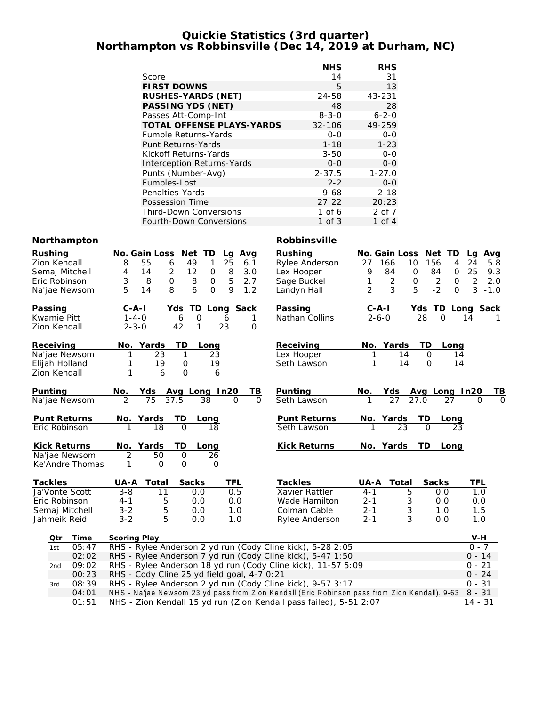#### **Quickie Statistics (3rd quarter) Northampton vs Robbinsville (Dec 14, 2019 at Durham, NC)**

|                                  | <b>NHS</b>  | RHS         |
|----------------------------------|-------------|-------------|
| Score                            | 14          | 31          |
| <b>FIRST DOWNS</b>               | 5           | 13          |
| RUSHES-YARDS (NET)               | $24 - 58$   | 43-231      |
| PASSING YDS (NET)                | 48          | 28          |
| Passes Att-Comp-Int              | $8 - 3 - 0$ | $6 - 2 - 0$ |
| <b>TOTAL OFFENSE PLAYS-YARDS</b> | $32 - 106$  | 49-259      |
| <b>Fumble Returns-Yards</b>      | $0 - 0$     | $0 - 0$     |
| Punt Returns-Yards               | $1 - 18$    | $1 - 23$    |
| Kickoff Returns-Yards            | $3 - 50$    | $0 - 0$     |
| Interception Returns-Yards       | $0 - 0$     | $0 - 0$     |
| Punts (Number-Avg)               | $2 - 37.5$  | $1 - 27.0$  |
| Fumbles-Lost                     | $2 - 2$     | $0 - 0$     |
| Penalties-Yards                  | $9 - 68$    | $2 - 18$    |
| Possession Time                  | 27:22       | 20:23       |
| <b>Third-Down Conversions</b>    | 1 of 6      | 2 of 7      |
| Fourth-Down Conversions          | 1 of 3      | 1 of 4      |

#### **Northampton Robbinsville**

| Rushing                         | No. Gain Loss<br>Net<br>TD<br>Avg<br>Lg                                                                   | Rushing             | No. Gain Loss            | Net<br><b>TD</b>                       | <u>Avg</u><br>La      |  |  |  |
|---------------------------------|-----------------------------------------------------------------------------------------------------------|---------------------|--------------------------|----------------------------------------|-----------------------|--|--|--|
| Zion Kendall                    | 8<br>25<br>55<br>6<br>49<br>$\mathbf{1}$<br>6.1                                                           | Rylee Anderson      | 27<br>166<br>10          | 156<br>4                               | 24<br>5.8             |  |  |  |
| Semaj Mitchell                  | $\overline{2}$<br>12<br>8<br>4<br>14<br>O<br>3.0                                                          | Lex Hooper          | 9<br>84<br>$\mathbf 0$   | 84<br>0                                | 25<br>9.3             |  |  |  |
| Eric Robinson                   | 5<br>3<br>O<br>8<br>2.7<br>8<br>$\circ$                                                                   | Sage Buckel         | 2<br>$\mathsf{O}$<br>1   | 2<br>$\mathbf{O}$                      | $\overline{2}$<br>2.0 |  |  |  |
| Na'jae Newsom                   | 5<br>8<br>9<br>6<br>$\overline{O}$<br>1.2<br>14                                                           | Landyn Hall         | $\overline{2}$<br>3<br>5 | $-2$<br>$\Omega$                       | 3<br>$-1.0$           |  |  |  |
| Passing                         | $C - A - I$<br>TD<br>Long Sack<br>Yds                                                                     | Passing             | $C - A - I$              | Yds TD                                 | Long Sack             |  |  |  |
| <b>Kwamie Pitt</b>              | $1 - 4 - 0$<br>$\overline{O}$<br>6<br>6<br>1                                                              | Nathan Collins      | $\overline{2} - 6 - 0$   | 28<br>$\Omega$                         | 14                    |  |  |  |
| Zion Kendall                    | 42<br>$2 - 3 - 0$<br>1<br>23<br>0                                                                         |                     |                          |                                        |                       |  |  |  |
| Receiving                       | TD<br>Yards<br>No.<br>Long                                                                                | Receiving           | Yards<br>No.             | TD<br>Long                             |                       |  |  |  |
| Na'jae Newsom                   | 23<br>1<br>23<br>1                                                                                        | Lex Hooper          | 14<br>1                  | $\Omega$<br>14                         |                       |  |  |  |
| Elijah Holland                  | 19<br>19<br>$\mathcal{O}$<br>1                                                                            | Seth Lawson         | 14<br>1                  | 14<br>$\Omega$                         |                       |  |  |  |
| Zion Kendall                    | 1<br>6<br>$\Omega$<br>6                                                                                   |                     |                          |                                        |                       |  |  |  |
| Punting                         | Avg Long In20<br>TВ<br>No.<br>Yds                                                                         | Punting             | <u>Yds</u><br>No.        |                                        | TВ                    |  |  |  |
| Na'jae Newsom                   | 37.5<br>$\mathfrak{D}$<br>75<br>38<br>$\Omega$<br>$\Omega$                                                | Seth Lawson         | $\overline{27}$          | Avg Long In20<br>27.0 27 0             | $\Omega$              |  |  |  |
| Punt Returns                    | <u>TD</u><br>Yards<br>No.<br>Long                                                                         | <b>Punt Returns</b> | <u>No. Yards</u>         | ТD<br>Long                             |                       |  |  |  |
| Eric Robinson                   | $\overline{18}$<br>$\overline{O}$<br>18                                                                   | Seth Lawson         | $\overline{23}$          | $\overline{\Omega}$<br>$\overline{23}$ |                       |  |  |  |
| Kick Returns                    | ТD<br>No.<br>Yards<br>Long                                                                                | Kick Returns        | No. Yards                | TD<br>Long                             |                       |  |  |  |
| Na'jae Newsom                   | $\overline{2}$<br>$\mathsf{O}$<br>50<br>26                                                                |                     |                          |                                        |                       |  |  |  |
| Ke'Andre Thomas                 | $\Omega$<br>0<br>$\Omega$                                                                                 |                     |                          |                                        |                       |  |  |  |
| Tackles                         | UA-A<br>Total<br>Sacks<br>TFL                                                                             | Tackles             | UA-A<br>Total            | Sacks                                  | TFL                   |  |  |  |
| Ja'Vonte Scott                  | $3 - 8$<br>0.5<br>11<br>0.0                                                                               | Xavier Rattler      | $4 - 1$<br>5             | 0.0                                    | 1.0                   |  |  |  |
| Eric Robinson                   | 0.0<br>$4 - 1$<br>5<br>0.0                                                                                | Wade Hamilton       | $2 - 1$<br>3             | 0.0                                    | 0.0                   |  |  |  |
| Semaj Mitchell                  | $3 - 2$<br>5<br>0.0<br>1.0                                                                                | Colman Cable        | 3<br>$2 - 1$             | 1.0                                    | 1.5                   |  |  |  |
| Jahmeik Reid                    | 5<br>$3 - 2$<br>1.0<br>0.0                                                                                | Rylee Anderson      | 3<br>$2 - 1$             | 0.0                                    | 1.0                   |  |  |  |
| Qtr<br>Time                     | Scoring Play                                                                                              |                     |                          |                                        | $V-H$                 |  |  |  |
| 05:47<br>1st                    | RHS - Rylee Anderson 2 yd run (Cody Cline kick), 5-28 2:05                                                |                     |                          |                                        | $0 - 7$               |  |  |  |
| 02:02                           | RHS - Rylee Anderson 7 yd run (Cody Cline kick), 5-47 1:50                                                |                     |                          |                                        | $0 - 14$              |  |  |  |
| 09:02<br>2nd                    | RHS - Rylee Anderson 18 yd run (Cody Cline kick), 11-57 5:09                                              |                     |                          |                                        | $0 - 21$              |  |  |  |
| 00:23                           | RHS - Cody Cline 25 yd field goal, 4-7 0:21                                                               |                     |                          |                                        | $0 - 24$              |  |  |  |
| 08:39<br>3rd                    | RHS - Rylee Anderson 2 yd run (Cody Cline kick), 9-57 3:17                                                |                     |                          |                                        | $0 - 31$              |  |  |  |
| $\bigcap$ $\bigcap$ $\bigcap$ 1 | NHS - Na'iae Newsom 23 yd nass from Zion Kendall (Fric Pobinson nass from Zion Kendall), 9-63<br>$R - 31$ |                     |                          |                                        |                       |  |  |  |

04:01 NHS - Na'jae Newsom 23 yd pass from Zion Kendall (Eric Robinson pass from Zion Kendall), 9-63 8 - 31

01:51 NHS - Zion Kendall 15 yd run (Zion Kendall pass failed), 5-51 2:07 14 - 31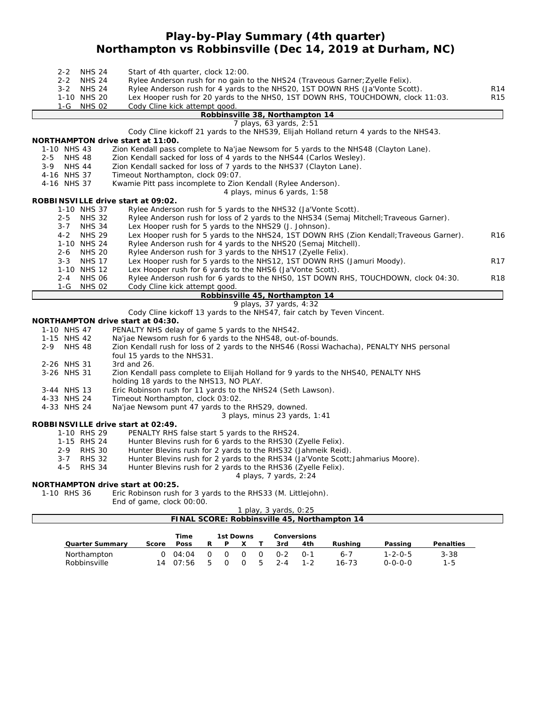## **Play-by-Play Summary (4th quarter) Northampton vs Robbinsville (Dec 14, 2019 at Durham, NC)**

| <b>NHS 24</b><br>$2 - 2$ | Start of 4th quarter, clock 12:00.                                                        |                 |
|--------------------------|-------------------------------------------------------------------------------------------|-----------------|
| $2 - 2$<br><b>NHS 24</b> | Rylee Anderson rush for no gain to the NHS24 (Traveous Garner; Zyelle Felix).             |                 |
| <b>NHS 24</b><br>$3 - 2$ | Rylee Anderson rush for 4 yards to the NHS20, 1ST DOWN RHS (Ja'Vonte Scott).              | R <sub>14</sub> |
| 1-10 NHS 20              | Lex Hooper rush for 20 yards to the NHSO, 1ST DOWN RHS, TOUCHDOWN, clock 11:03.           | R <sub>15</sub> |
| <b>NHS 02</b><br>1-G     | Cody Cline kick attempt good.                                                             |                 |
|                          | Robbinsville 38, Northampton 14                                                           |                 |
|                          | 7 plays, 63 yards, 2:51                                                                   |                 |
|                          | Cody Cline kickoff 21 yards to the NHS39, Elijah Holland return 4 yards to the NHS43.     |                 |
|                          | NORTHAMPTON drive start at 11:00.                                                         |                 |
| 1-10 NHS 43              | Zion Kendall pass complete to Na'jae Newsom for 5 yards to the NHS48 (Clayton Lane).      |                 |
| <b>NHS 48</b><br>$2 - 5$ | Zion Kendall sacked for loss of 4 yards to the NHS44 (Carlos Wesley).                     |                 |
| <b>NHS 44</b><br>$3-9$   | Zion Kendall sacked for loss of 7 yards to the NHS37 (Clayton Lane).                      |                 |
| 4-16 NHS 37              | Timeout Northampton, clock 09:07.                                                         |                 |
| 4-16 NHS 37              | Kwamie Pitt pass incomplete to Zion Kendall (Rylee Anderson).                             |                 |
|                          | 4 plays, minus 6 yards, 1:58                                                              |                 |
|                          | ROBBINSVILLE drive start at 09:02.                                                        |                 |
| 1-10 NHS 37              | Rylee Anderson rush for 5 yards to the NHS32 (Ja'Vonte Scott).                            |                 |
| <b>NHS 32</b><br>$2 - 5$ | Rylee Anderson rush for loss of 2 yards to the NHS34 (Semaj Mitchell; Traveous Garner).   |                 |
| $3 - 7$<br><b>NHS 34</b> | Lex Hooper rush for 5 yards to the NHS29 (J. Johnson).                                    |                 |
| <b>NHS 29</b><br>$4 - 2$ | Lex Hooper rush for 5 yards to the NHS24, 1ST DOWN RHS (Zion Kendall; Traveous Garner).   | R <sub>16</sub> |
| 1-10 NHS 24              | Rylee Anderson rush for 4 yards to the NHS20 (Semaj Mitchell).                            |                 |
| $2 - 6$<br><b>NHS 20</b> | Rylee Anderson rush for 3 yards to the NHS17 (Zyelle Felix).                              |                 |
| <b>NHS 17</b><br>$3 - 3$ | Lex Hooper rush for 5 yards to the NHS12, 1ST DOWN RHS (Jamuri Moody).                    | R17             |
| 1-10 NHS 12              | Lex Hooper rush for 6 yards to the NHS6 (Ja'Vonte Scott).                                 |                 |
| $2 - 4$<br><b>NHS 06</b> | Rylee Anderson rush for 6 yards to the NHSO, 1ST DOWN RHS, TOUCHDOWN, clock 04:30.        | R <sub>18</sub> |
| 1-G NHS 02               | Cody Cline kick attempt good.                                                             |                 |
|                          | Robbinsville 45, Northampton 14                                                           |                 |
|                          | 9 plays, 37 yards, 4:32                                                                   |                 |
|                          | Cody Cline kickoff 13 yards to the NHS47, fair catch by Teven Vincent.                    |                 |
|                          | NORTHAMPTON drive start at 04:30.                                                         |                 |
| 1-10 NHS 47              | PENALTY NHS delay of game 5 yards to the NHS42.                                           |                 |
| 1-15 NHS 42              | Na'jae Newsom rush for 6 yards to the NHS48, out-of-bounds.                               |                 |
| $2 - 9$<br><b>NHS 48</b> | Zion Kendall rush for loss of 2 yards to the NHS46 (Rossi Wachacha), PENALTY NHS personal |                 |
|                          | foul 15 yards to the NHS31.                                                               |                 |
| 2-26 NHS 31              | 3rd and 26.                                                                               |                 |
| 3-26 NHS 31              | Zion Kendall pass complete to Elijah Holland for 9 yards to the NHS40, PENALTY NHS        |                 |
|                          | holding 18 yards to the NHS13, NO PLAY.                                                   |                 |
| 3-44 NHS 13              | Eric Robinson rush for 11 yards to the NHS24 (Seth Lawson).                               |                 |
| 4-33 NHS 24              | Timeout Northampton, clock 03:02.                                                         |                 |
| 4-33 NHS 24              | Na'jae Newsom punt 47 yards to the RHS29, downed.                                         |                 |
|                          | 3 plays, minus 23 yards, 1:41                                                             |                 |
|                          | ROBBINSVILLE drive start at 02:49.                                                        |                 |
| 1-10 RHS 29              | PENALTY RHS false start 5 yards to the RHS24.                                             |                 |
| 1-15 RHS 24              | Hunter Blevins rush for 6 yards to the RHS30 (Zyelle Felix).                              |                 |
| <b>RHS 30</b><br>$2 - 9$ | Hunter Blevins rush for 2 yards to the RHS32 (Jahmeik Reid).                              |                 |
| <b>RHS 32</b><br>$3 - 7$ | Hunter Blevins rush for 2 yards to the RHS34 (Ja'Vonte Scott; Jahmarius Moore).           |                 |
| <b>RHS 34</b><br>4-5     | Hunter Blevins rush for 2 yards to the RHS36 (Zyelle Felix).                              |                 |
|                          | 4 plays, 7 yards, 2:24                                                                    |                 |
|                          | NORTHAMPTON drive start at 00:25.                                                         |                 |
| 1-10 RHS 36              | Eric Robinson rush for 3 yards to the RHS33 (M. Littlejohn).                              |                 |
|                          | End of game, clock 00:00.                                                                 |                 |
|                          | 1 play, 3 yards, 0:25                                                                     |                 |

| FINAL SCORE: Robbinsville 45, Northampton 14 |       |             |                          |   |  |                |         |      |         |                 |           |  |
|----------------------------------------------|-------|-------------|--------------------------|---|--|----------------|---------|------|---------|-----------------|-----------|--|
|                                              |       | Time        | 1st Downs<br>Conversions |   |  |                |         |      |         |                 |           |  |
| Quarter Summary                              | Score | <b>Poss</b> | R.                       | P |  |                | 3rd     | 4th  | Rushina | Passing         | Penalties |  |
| Northampton                                  |       | 04:04       |                          |   |  | $\Omega$       | $0 - 2$ | ົດ-1 | $6 - 7$ | $1 - 2 - 0 - 5$ | $3 - 38$  |  |
| Robbinsville                                 | 14    | 07:56       | $\mathsf{h}$             |   |  | $\overline{ }$ | $2 - 4$ |      | 16-73   | $0 - 0 - 0 - 0$ | $1 - 5$   |  |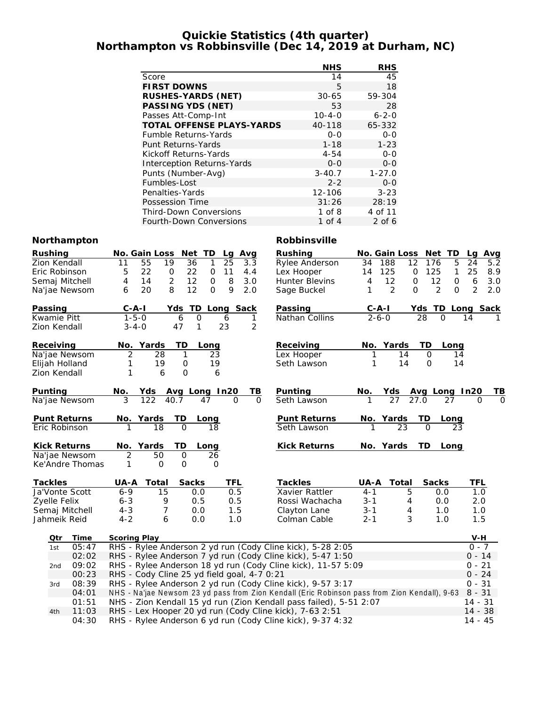#### **Quickie Statistics (4th quarter) Northampton vs Robbinsville (Dec 14, 2019 at Durham, NC)**

|                                  | <b>NHS</b>   | <b>RHS</b>  |
|----------------------------------|--------------|-------------|
| Score                            | 14           | 45          |
| <b>FIRST DOWNS</b>               | 5            | 18          |
| RUSHES-YARDS (NET)               | $30 - 65$    | 59-304      |
| PASSING YDS (NET)                | 53           | 28          |
| Passes Att-Comp-Int              | $10 - 4 - 0$ | $6 - 2 - 0$ |
| <b>TOTAL OFFENSE PLAYS-YARDS</b> | 40-118       | 65-332      |
| <b>Fumble Returns-Yards</b>      | $0 - 0$      | $0 - 0$     |
| Punt Returns-Yards               | $1 - 18$     | $1 - 23$    |
| Kickoff Returns-Yards            | $4 - 54$     | $0 - 0$     |
| Interception Returns-Yards       | $0 - 0$      | $0 - 0$     |
| Punts (Number-Avg)               | $3 - 40.7$   | $1 - 27.0$  |
| Fumbles-Lost                     | $2 - 2$      | $0 - 0$     |
| Penalties-Yards                  | 12-106       | $3 - 23$    |
| Possession Time                  | 31:26        | 28:19       |
| <b>Third-Down Conversions</b>    | $1$ of $8$   | 4 of 11     |
| Fourth-Down Conversions          | 1 of 4       | $2$ of 6    |

#### **Northampton Robbinsville**

| Rushing                                                                 |                 | No. Gain Loss                                                |                                             | Net<br>TD           | Avg<br>La            | Rushing                                                                                       | No. Gain Loss |                         | Net TD                    | <u>Avg</u><br>La      |  |
|-------------------------------------------------------------------------|-----------------|--------------------------------------------------------------|---------------------------------------------|---------------------|----------------------|-----------------------------------------------------------------------------------------------|---------------|-------------------------|---------------------------|-----------------------|--|
| Zion Kendall                                                            |                 | 55<br>11                                                     | 19                                          | 36<br>$\mathbf{1}$  | 25<br>3.3            | Rylee Anderson                                                                                | 188<br>34     | 12                      | 5<br>176                  | 24<br>5.2             |  |
| Eric Robinson                                                           |                 | 22<br>5                                                      | 0                                           | 22<br>0             | 11<br>4.4            | Lex Hooper                                                                                    | 125<br>14     | 0                       | 125<br>1                  | 25<br>8.9             |  |
| Semaj Mitchell                                                          |                 | 4<br>14                                                      | $\overline{2}$                              | 12<br>$\mbox{O}$    | 8<br>3.0             | Hunter Blevins                                                                                | 4             | 12<br>$\mathbf 0$       | 12<br>$\mathsf{O}\xspace$ | 6<br>3.0              |  |
| Na'jae Newsom                                                           |                 | 20<br>6                                                      | 8                                           | 12<br>$\Omega$      | 9<br>2.0             | Sage Buckel                                                                                   | 1             | $\overline{2}$<br>0     | $\overline{2}$<br>0       | $\overline{2}$<br>2.0 |  |
| Passing                                                                 |                 | $C - A - I$                                                  | Yds                                         | TD                  | Long Sack            | Passing                                                                                       | $C-A-I$       | Yds                     | TD                        | Long Sack             |  |
| Kwamie Pitt                                                             |                 | $1 - 5 - 0$                                                  |                                             | $\overline{O}$<br>6 | 6<br>1               | Nathan Collins                                                                                | $2 - 6 - 0$   |                         | 28<br>$\Omega$            | 14                    |  |
| Zion Kendall                                                            |                 | $3 - 4 - 0$                                                  | 47                                          | 1                   | 23<br>2              |                                                                                               |               |                         |                           |                       |  |
| Receiving                                                               |                 | No. Yards                                                    |                                             | TD<br>Long          |                      | Receiving                                                                                     | No. Yards     |                         | TD<br>Long                |                       |  |
| Na'jae Newsom                                                           |                 | $\overline{c}$                                               | 28                                          | 1<br>23             |                      | Lex Hooper                                                                                    | 1             | 14                      | $\mathbf{O}$<br>14        |                       |  |
| Elijah Holland                                                          |                 | 1                                                            | 19                                          | 0<br>19             |                      | Seth Lawson                                                                                   | 1             | 14                      | $\Omega$<br>14            |                       |  |
| Zion Kendall                                                            |                 | 1                                                            | 6                                           | $\Omega$<br>6       |                      |                                                                                               |               |                         |                           |                       |  |
| Punting                                                                 |                 | No.                                                          | Yds                                         | Avg Long In20       | <u>ТВ</u>            | Punting                                                                                       | No.           | <u>Yds</u>              | Avg Long In20             | ΤB                    |  |
| Na'jae Newsom                                                           |                 | 3                                                            | 40.7<br>122                                 | 47                  | $\Omega$<br>$\Omega$ | Seth Lawson                                                                                   |               | $\overline{27}$<br>27.0 | 27                        | $\Omega$              |  |
| Punt Returns                                                            |                 | No.                                                          | Yards                                       | <b>TD</b><br>Long   |                      | Punt Returns                                                                                  | No. Yards     |                         | <b>TD</b><br><u>Long</u>  |                       |  |
| Eric Robinson                                                           |                 |                                                              | 18                                          | $\Omega$<br>18      |                      | Seth Lawson                                                                                   |               | $\overline{23}$         | $\Omega$<br>23            |                       |  |
| Kick Returns                                                            |                 | No.                                                          | Yards                                       | TD<br>Long          |                      | Kick Returns                                                                                  | No. Yards     |                         | TD<br>Long                |                       |  |
|                                                                         | Na'jae Newsom   | 2                                                            | 50                                          | $\mathbf 0$<br>26   |                      |                                                                                               |               |                         |                           |                       |  |
|                                                                         | Ke'Andre Thomas | 1                                                            | 0                                           | O<br>O              |                      |                                                                                               |               |                         |                           |                       |  |
| Tackles                                                                 |                 | UA-A                                                         | Total                                       | Sacks               | TFL                  | Tackles                                                                                       | UA-A          | Total                   | Sacks                     | TFL                   |  |
| Ja'Vonte Scott                                                          |                 | $6 - 9$                                                      | 15                                          | 0.0                 | 0.5                  | Xavier Rattler                                                                                | $4 - 1$       | 5                       | 0.0                       | 1.0                   |  |
| Zyelle Felix                                                            |                 | $6 - 3$                                                      | 9                                           | 0.5                 | 0.5                  | Rossi Wachacha                                                                                | $3 - 1$       | 4                       | 0.0                       | 2.0                   |  |
| Semaj Mitchell                                                          |                 | $4 - 3$                                                      | 7                                           | 0.0                 | 1.5                  | Clayton Lane                                                                                  | $3 - 1$       | 4                       | 1.0                       | 1.0                   |  |
| Jahmeik Reid                                                            |                 | $4 - 2$                                                      | 6                                           | 0.0                 | 1.0                  | Colman Cable                                                                                  | $2 - 1$       | 3                       | 1.0                       | 1.5                   |  |
| <u>Otr</u>                                                              | Time            | <b>Scoring Play</b>                                          |                                             |                     |                      |                                                                                               |               |                         |                           | V-H                   |  |
| 1st                                                                     | 05:47           |                                                              |                                             |                     |                      | RHS - Rylee Anderson 2 yd run (Cody Cline kick), 5-28 2:05                                    |               |                         |                           | $0 - 7$               |  |
|                                                                         | 02:02           |                                                              |                                             |                     |                      | RHS - Rylee Anderson 7 yd run (Cody Cline kick), 5-47 1:50                                    |               |                         |                           | $0 - 14$              |  |
| 2nd                                                                     | 09:02           | RHS - Rylee Anderson 18 yd run (Cody Cline kick), 11-57 5:09 |                                             |                     |                      |                                                                                               |               |                         |                           | $0 - 21$<br>$0 - 24$  |  |
|                                                                         | 00:23           |                                                              | RHS - Cody Cline 25 yd field goal, 4-7 0:21 |                     |                      |                                                                                               |               |                         |                           |                       |  |
| 3rd                                                                     | 08:39           |                                                              |                                             |                     |                      | RHS - Rylee Anderson 2 yd run (Cody Cline kick), 9-57 3:17                                    |               |                         |                           | $0 - 31$              |  |
|                                                                         | 04:01           |                                                              |                                             |                     |                      | NHS - Na'jae Newsom 23 yd pass from Zion Kendall (Eric Robinson pass from Zion Kendall), 9-63 |               |                         |                           | $8 - 31$              |  |
|                                                                         | 01:51           |                                                              |                                             |                     |                      | NHS - Zion Kendall 15 yd run (Zion Kendall pass failed), 5-51 2:07                            |               |                         |                           | $14 - 31$             |  |
| 11:03<br>RHS - Lex Hooper 20 yd run (Cody Cline kick), 7-63 2:51<br>4th |                 |                                                              |                                             |                     |                      | $14 - 38$                                                                                     |               |                         |                           |                       |  |

04:30 RHS - Rylee Anderson 6 yd run (Cody Cline kick), 9-37 4:32 14 - 45